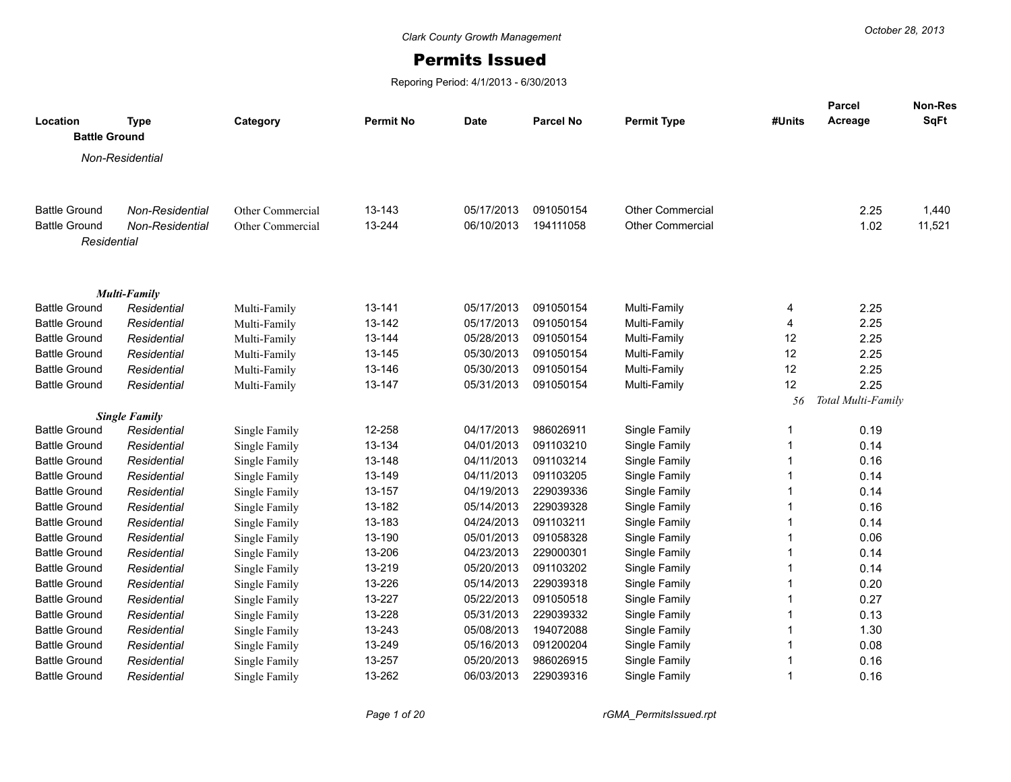## Permits Issued

Reporing Period: 4/1/2013 - 6/30/2013

| Location<br><b>Battle Ground</b>             | <b>Type</b>                | Category         | <b>Permit No</b> | <b>Date</b>              | <b>Parcel No</b>       | <b>Permit Type</b>             | #Units | Parcel<br>Acreage  | Non-Res<br>SqFt |
|----------------------------------------------|----------------------------|------------------|------------------|--------------------------|------------------------|--------------------------------|--------|--------------------|-----------------|
|                                              | Non-Residential            |                  |                  |                          |                        |                                |        |                    |                 |
|                                              |                            |                  |                  |                          |                        |                                |        |                    |                 |
| <b>Battle Ground</b>                         | Non-Residential            | Other Commercial | 13-143           | 05/17/2013               | 091050154              | <b>Other Commercial</b>        |        | 2.25               | 1,440           |
| <b>Battle Ground</b>                         | Non-Residential            | Other Commercial | 13-244           | 06/10/2013               | 194111058              | <b>Other Commercial</b>        |        | 1.02               | 11,521          |
| Residential                                  |                            |                  |                  |                          |                        |                                |        |                    |                 |
|                                              | Multi-Family               |                  |                  |                          |                        |                                |        |                    |                 |
| <b>Battle Ground</b>                         | Residential                | Multi-Family     | 13-141           | 05/17/2013               | 091050154              | Multi-Family                   | 4      | 2.25               |                 |
| <b>Battle Ground</b>                         | Residential                | Multi-Family     | 13-142           | 05/17/2013               | 091050154              | Multi-Family                   | 4      | 2.25               |                 |
| <b>Battle Ground</b>                         | Residential                | Multi-Family     | 13-144           | 05/28/2013               | 091050154              | Multi-Family                   | 12     | 2.25               |                 |
| <b>Battle Ground</b>                         | Residential                | Multi-Family     | 13-145           | 05/30/2013               | 091050154              | Multi-Family                   | 12     | 2.25               |                 |
| <b>Battle Ground</b>                         | Residential                | Multi-Family     | 13-146           | 05/30/2013               | 091050154              | Multi-Family                   | 12     | 2.25               |                 |
| <b>Battle Ground</b>                         | Residential                | Multi-Family     | 13-147           | 05/31/2013               | 091050154              | Multi-Family                   | 12     | 2.25               |                 |
|                                              |                            |                  |                  |                          |                        |                                | 56     | Total Multi-Family |                 |
|                                              | <b>Single Family</b>       |                  |                  |                          |                        |                                |        |                    |                 |
| <b>Battle Ground</b>                         | Residential                | Single Family    | 12-258           | 04/17/2013               | 986026911              | Single Family                  | 1      | 0.19               |                 |
| <b>Battle Ground</b>                         | Residential                | Single Family    | 13-134           | 04/01/2013               | 091103210              | Single Family                  |        | 0.14               |                 |
| <b>Battle Ground</b>                         | Residential                | Single Family    | 13-148           | 04/11/2013               | 091103214              | Single Family                  |        | 0.16               |                 |
| <b>Battle Ground</b>                         | Residential                | Single Family    | 13-149           | 04/11/2013               | 091103205              | Single Family                  |        | 0.14               |                 |
| <b>Battle Ground</b>                         | Residential                | Single Family    | 13-157           | 04/19/2013               | 229039336              | Single Family                  |        | 0.14               |                 |
| <b>Battle Ground</b>                         | Residential                | Single Family    | 13-182           | 05/14/2013               | 229039328              | Single Family                  |        | 0.16               |                 |
| <b>Battle Ground</b>                         | Residential                | Single Family    | 13-183           | 04/24/2013               | 091103211              | Single Family                  |        | 0.14               |                 |
| <b>Battle Ground</b>                         | Residential                | Single Family    | 13-190           | 05/01/2013               | 091058328              | Single Family                  |        | 0.06               |                 |
| <b>Battle Ground</b>                         | Residential                | Single Family    | 13-206           | 04/23/2013               | 229000301              | Single Family                  |        | 0.14               |                 |
| <b>Battle Ground</b>                         | Residential                | Single Family    | 13-219           | 05/20/2013               | 091103202              | Single Family                  |        | 0.14               |                 |
| <b>Battle Ground</b>                         | Residential                | Single Family    | 13-226           | 05/14/2013               | 229039318              | Single Family                  |        | 0.20               |                 |
| <b>Battle Ground</b>                         | Residential                | Single Family    | 13-227           | 05/22/2013               | 091050518<br>229039332 | Single Family                  |        | 0.27               |                 |
| <b>Battle Ground</b>                         | Residential                | Single Family    | 13-228           | 05/31/2013               | 194072088              | Single Family                  |        | 0.13               |                 |
| <b>Battle Ground</b><br><b>Battle Ground</b> | Residential                | Single Family    | 13-243<br>13-249 | 05/08/2013<br>05/16/2013 | 091200204              | Single Family<br>Single Family |        | 1.30<br>0.08       |                 |
| <b>Battle Ground</b>                         | Residential<br>Residential | Single Family    | 13-257           | 05/20/2013               | 986026915              | Single Family                  |        | 0.16               |                 |
| <b>Battle Ground</b>                         |                            | Single Family    | 13-262           | 06/03/2013               | 229039316              | Single Family                  |        | 0.16               |                 |
|                                              | Residential                | Single Family    |                  |                          |                        |                                |        |                    |                 |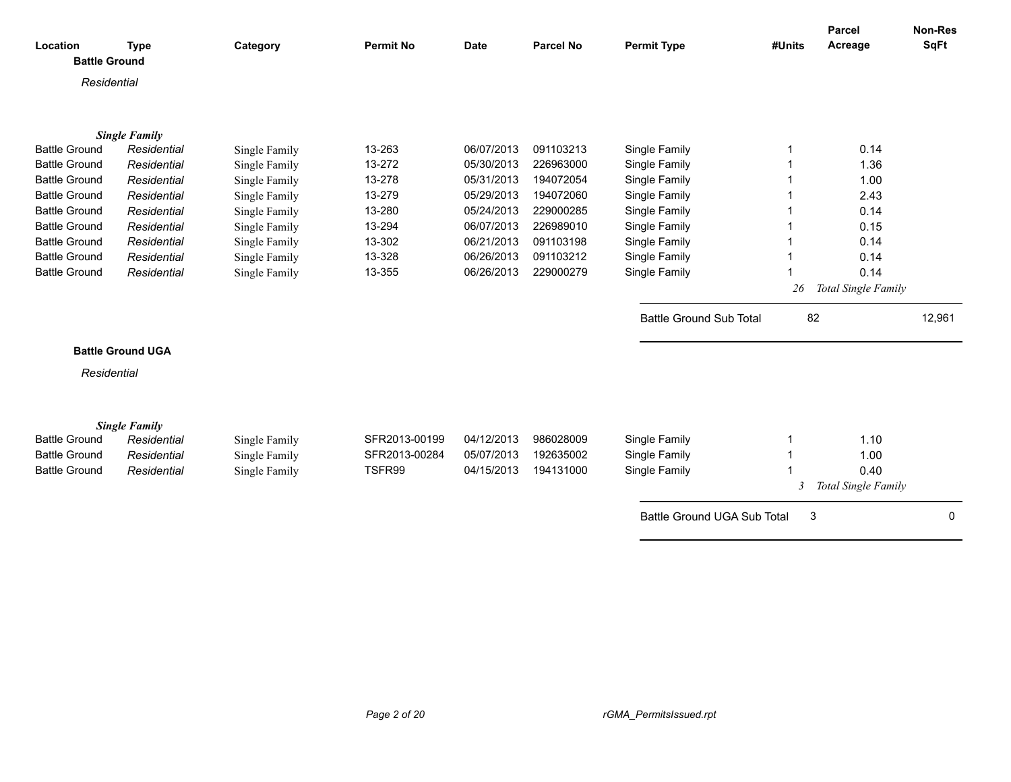|                      |                          |               |                  |             |                  |                                |        | Parcel              | Non-Res     |
|----------------------|--------------------------|---------------|------------------|-------------|------------------|--------------------------------|--------|---------------------|-------------|
| Location             | <b>Type</b>              | Category      | <b>Permit No</b> | <b>Date</b> | <b>Parcel No</b> | <b>Permit Type</b>             | #Units | Acreage             | <b>SqFt</b> |
| <b>Battle Ground</b> |                          |               |                  |             |                  |                                |        |                     |             |
| Residential          |                          |               |                  |             |                  |                                |        |                     |             |
|                      |                          |               |                  |             |                  |                                |        |                     |             |
|                      |                          |               |                  |             |                  |                                |        |                     |             |
|                      | <b>Single Family</b>     |               |                  |             |                  |                                |        |                     |             |
| <b>Battle Ground</b> | Residential              | Single Family | 13-263           | 06/07/2013  | 091103213        | Single Family                  |        | 0.14                |             |
| <b>Battle Ground</b> | Residential              | Single Family | 13-272           | 05/30/2013  | 226963000        | Single Family                  |        | 1.36                |             |
| <b>Battle Ground</b> | Residential              | Single Family | 13-278           | 05/31/2013  | 194072054        | Single Family                  |        | 1.00                |             |
| <b>Battle Ground</b> | Residential              | Single Family | 13-279           | 05/29/2013  | 194072060        | Single Family                  |        | 2.43                |             |
| <b>Battle Ground</b> | Residential              | Single Family | 13-280           | 05/24/2013  | 229000285        | Single Family                  |        | 0.14                |             |
| <b>Battle Ground</b> | Residential              | Single Family | 13-294           | 06/07/2013  | 226989010        | Single Family                  |        | 0.15                |             |
| <b>Battle Ground</b> | Residential              | Single Family | 13-302           | 06/21/2013  | 091103198        | Single Family                  |        | 0.14                |             |
| <b>Battle Ground</b> | Residential              | Single Family | 13-328           | 06/26/2013  | 091103212        | Single Family                  |        | 0.14                |             |
| <b>Battle Ground</b> | Residential              | Single Family | 13-355           | 06/26/2013  | 229000279        | Single Family                  |        | 0.14                |             |
|                      |                          |               |                  |             |                  |                                | 26     | Total Single Family |             |
|                      |                          |               |                  |             |                  | <b>Battle Ground Sub Total</b> | 82     |                     | 12,961      |
|                      |                          |               |                  |             |                  |                                |        |                     |             |
|                      | <b>Battle Ground UGA</b> |               |                  |             |                  |                                |        |                     |             |
| Residential          |                          |               |                  |             |                  |                                |        |                     |             |
|                      |                          |               |                  |             |                  |                                |        |                     |             |
|                      | <b>Single Family</b>     |               |                  |             |                  |                                |        |                     |             |
| <b>Battle Ground</b> | Residential              | Single Family | SFR2013-00199    | 04/12/2013  | 986028009        | Single Family                  |        | 1.10                |             |
| <b>Battle Ground</b> | Residential              | Single Family | SFR2013-00284    | 05/07/2013  | 192635002        | Single Family                  |        | 1.00                |             |
| <b>Battle Ground</b> | Residential              | Single Family | TSFR99           | 04/15/2013  | 194131000        | Single Family                  |        | 0.40                |             |
|                      |                          |               |                  |             |                  |                                | 3      | Total Single Family |             |
|                      |                          |               |                  |             |                  | Battle Ground UGA Sub Total    | 3      |                     | 0           |
|                      |                          |               |                  |             |                  |                                |        |                     |             |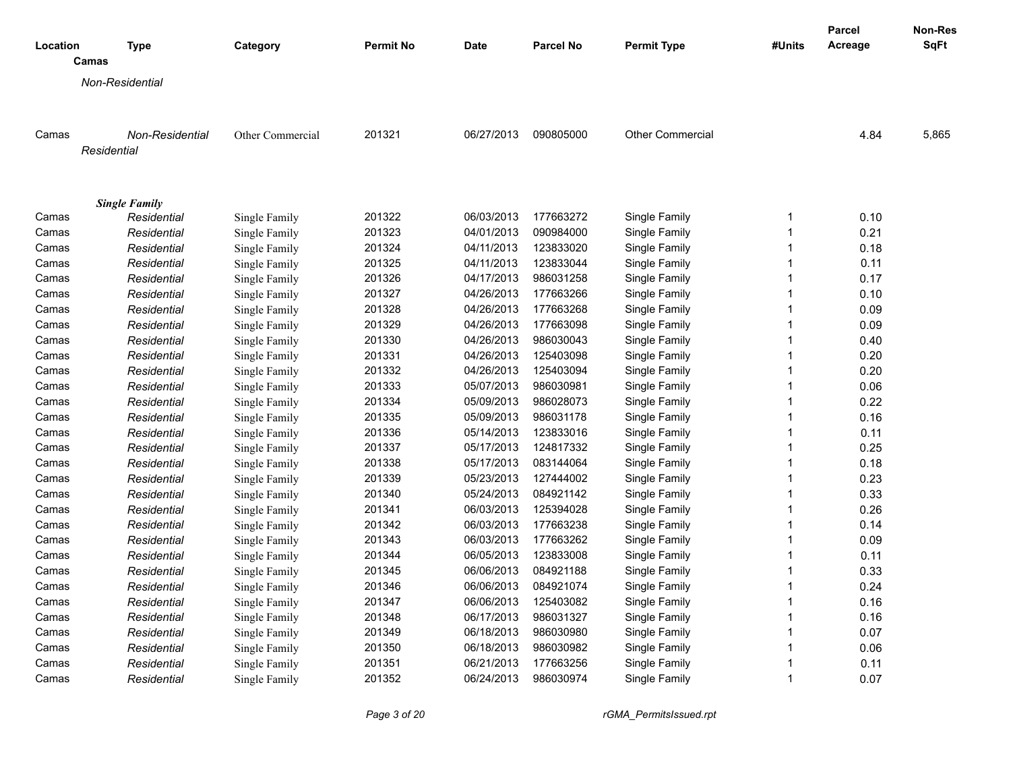| Location<br>Category<br><b>Date</b><br>Camas<br><b>Non-Residential</b><br>201321<br>090805000<br><b>Other Commercial</b><br>4.84<br>5,865<br>Camas<br><b>Non-Residential</b><br>Other Commercial<br>06/27/2013<br>Residential<br><b>Single Family</b><br>201322<br>06/03/2013<br>177663272<br>Single Family<br>0.10<br>Camas<br>1<br>Residential<br>Single Family<br>201323<br>$\mathbf{1}$<br>04/01/2013<br>090984000<br>Single Family<br>0.21<br>Camas<br>Residential<br>Single Family<br>201324<br>04/11/2013<br>123833020<br>Single Family<br>$\mathbf{1}$<br>0.18<br>Residential<br>Single Family<br>Camas<br>201325<br>Residential<br>Single Family<br>04/11/2013<br>123833044<br>Single Family<br>$\mathbf{1}$<br>0.11<br>Camas<br>201326<br>04/17/2013<br>986031258<br>0.17<br>Residential<br>Single Family<br>Single Family<br>1<br>Camas<br>201327<br>04/26/2013<br>177663266<br>Single Family<br>$\mathbf{1}$<br>0.10<br>Residential<br>Single Family<br>Camas<br>201328<br>177663268<br>$\mathbf{1}$<br>Residential<br>Single Family<br>04/26/2013<br>Single Family<br>0.09<br>Camas<br>201329<br>04/26/2013<br>177663098<br>$\mathbf{1}$<br>0.09<br>Camas<br>Residential<br>Single Family<br>Single Family<br>201330<br>986030043<br>04/26/2013<br>Single Family<br>$\mathbf{1}$<br>Residential<br>Single Family<br>0.40<br>Camas<br>201331<br>04/26/2013<br>125403098<br>0.20<br>Residential<br>Single Family<br>Single Family<br>1<br>Camas<br>201332<br>04/26/2013<br>0.20<br>125403094<br>Single Family<br>$\mathbf{1}$<br>Residential<br>Single Family<br>Camas<br>201333<br>05/07/2013<br>986030981<br>$\mathbf{1}$<br>0.06<br>Residential<br>Single Family<br>Single Family<br>Camas<br>201334<br>05/09/2013<br>986028073<br>Single Family<br>$\mathbf{1}$<br>0.22<br>Residential<br>Single Family<br>Camas<br>201335<br>05/09/2013<br>986031178<br>Single Family<br>1<br>0.16<br>Residential<br>Single Family<br>Camas<br>201336<br>123833016<br>$\mathbf{1}$<br>0.11<br>Residential<br>05/14/2013<br>Single Family<br>Camas<br>Single Family<br>201337<br>05/17/2013<br>124817332<br>Single Family<br>$\mathbf{1}$<br>Residential<br>Single Family<br>0.25<br>Camas<br>201338<br>05/17/2013<br>083144064<br>Single Family<br>$\mathbf{1}$<br>0.18<br>Residential<br>Single Family<br>Camas<br>201339<br>05/23/2013<br>127444002<br>Single Family<br>$\mathbf{1}$<br>0.23<br>Residential<br>Single Family<br>Camas<br>201340<br>0.33<br>Residential<br>Single Family<br>05/24/2013<br>084921142<br>Single Family<br>$\mathbf{1}$<br>Camas<br>201341<br>125394028<br>0.26<br>Residential<br>Single Family<br>06/03/2013<br>Single Family<br>1<br>Camas<br>201342<br>06/03/2013<br>177663238<br>Single Family<br>$\mathbf{1}$<br>0.14<br>Residential<br>Single Family<br>Camas<br>201343<br>177663262<br>$\mathbf{1}$<br>Single Family<br>06/03/2013<br>Single Family<br>0.09<br>Camas<br>Residential<br>201344<br>06/05/2013<br>123833008<br>0.11<br>Residential<br>Single Family<br>1<br>Camas<br>Single Family<br>201345<br>084921188<br>06/06/2013<br>Single Family<br>$\mathbf{1}$<br>0.33<br>Residential<br>Single Family<br>Camas<br>201346<br>06/06/2013<br>084921074<br>0.24<br>Residential<br>Single Family<br>Single Family<br>1<br>Camas<br>201347<br>06/06/2013<br>125403082<br>$\mathbf{1}$<br>0.16<br>Residential<br>Single Family<br>Single Family<br>Camas<br>201348<br>06/17/2013<br>986031327<br>0.16<br>Residential<br>Single Family<br>Single Family<br>$\mathbf{1}$<br>Camas<br>201349<br>06/18/2013<br>986030980<br>$\mathbf{1}$<br>0.07<br>Residential<br>Single Family<br>Single Family<br>Camas<br>201350<br>06/18/2013<br>986030982<br>Single Family<br>$\mathbf{1}$<br>0.06<br>Residential<br>Single Family<br>Camas<br>201351<br>177663256<br>Residential<br>06/21/2013<br>Single Family<br>$\mathbf{1}$<br>0.11<br>Camas<br>Single Family<br>201352<br>06/24/2013<br>986030974<br>Single Family<br>1<br>0.07<br>Camas<br>Residential<br>Single Family |             |                  |           |                    |        | Parcel  | Non-Res     |
|--------------------------------------------------------------------------------------------------------------------------------------------------------------------------------------------------------------------------------------------------------------------------------------------------------------------------------------------------------------------------------------------------------------------------------------------------------------------------------------------------------------------------------------------------------------------------------------------------------------------------------------------------------------------------------------------------------------------------------------------------------------------------------------------------------------------------------------------------------------------------------------------------------------------------------------------------------------------------------------------------------------------------------------------------------------------------------------------------------------------------------------------------------------------------------------------------------------------------------------------------------------------------------------------------------------------------------------------------------------------------------------------------------------------------------------------------------------------------------------------------------------------------------------------------------------------------------------------------------------------------------------------------------------------------------------------------------------------------------------------------------------------------------------------------------------------------------------------------------------------------------------------------------------------------------------------------------------------------------------------------------------------------------------------------------------------------------------------------------------------------------------------------------------------------------------------------------------------------------------------------------------------------------------------------------------------------------------------------------------------------------------------------------------------------------------------------------------------------------------------------------------------------------------------------------------------------------------------------------------------------------------------------------------------------------------------------------------------------------------------------------------------------------------------------------------------------------------------------------------------------------------------------------------------------------------------------------------------------------------------------------------------------------------------------------------------------------------------------------------------------------------------------------------------------------------------------------------------------------------------------------------------------------------------------------------------------------------------------------------------------------------------------------------------------------------------------------------------------------------------------------------------------------------------------------------------------------------------------------------------------------------------------------------------------------------------------------------------------------------------------------------------------------------------------------------------------------------------------------------------------------------------------------------------------------------------------------------------------------------------------------|-------------|------------------|-----------|--------------------|--------|---------|-------------|
|                                                                                                                                                                                                                                                                                                                                                                                                                                                                                                                                                                                                                                                                                                                                                                                                                                                                                                                                                                                                                                                                                                                                                                                                                                                                                                                                                                                                                                                                                                                                                                                                                                                                                                                                                                                                                                                                                                                                                                                                                                                                                                                                                                                                                                                                                                                                                                                                                                                                                                                                                                                                                                                                                                                                                                                                                                                                                                                                                                                                                                                                                                                                                                                                                                                                                                                                                                                                                                                                                                                                                                                                                                                                                                                                                                                                                                                                                                                                                                                                        | <b>Type</b> | <b>Permit No</b> | Parcel No | <b>Permit Type</b> | #Units | Acreage | <b>SqFt</b> |
|                                                                                                                                                                                                                                                                                                                                                                                                                                                                                                                                                                                                                                                                                                                                                                                                                                                                                                                                                                                                                                                                                                                                                                                                                                                                                                                                                                                                                                                                                                                                                                                                                                                                                                                                                                                                                                                                                                                                                                                                                                                                                                                                                                                                                                                                                                                                                                                                                                                                                                                                                                                                                                                                                                                                                                                                                                                                                                                                                                                                                                                                                                                                                                                                                                                                                                                                                                                                                                                                                                                                                                                                                                                                                                                                                                                                                                                                                                                                                                                                        |             |                  |           |                    |        |         |             |
|                                                                                                                                                                                                                                                                                                                                                                                                                                                                                                                                                                                                                                                                                                                                                                                                                                                                                                                                                                                                                                                                                                                                                                                                                                                                                                                                                                                                                                                                                                                                                                                                                                                                                                                                                                                                                                                                                                                                                                                                                                                                                                                                                                                                                                                                                                                                                                                                                                                                                                                                                                                                                                                                                                                                                                                                                                                                                                                                                                                                                                                                                                                                                                                                                                                                                                                                                                                                                                                                                                                                                                                                                                                                                                                                                                                                                                                                                                                                                                                                        |             |                  |           |                    |        |         |             |
|                                                                                                                                                                                                                                                                                                                                                                                                                                                                                                                                                                                                                                                                                                                                                                                                                                                                                                                                                                                                                                                                                                                                                                                                                                                                                                                                                                                                                                                                                                                                                                                                                                                                                                                                                                                                                                                                                                                                                                                                                                                                                                                                                                                                                                                                                                                                                                                                                                                                                                                                                                                                                                                                                                                                                                                                                                                                                                                                                                                                                                                                                                                                                                                                                                                                                                                                                                                                                                                                                                                                                                                                                                                                                                                                                                                                                                                                                                                                                                                                        |             |                  |           |                    |        |         |             |
|                                                                                                                                                                                                                                                                                                                                                                                                                                                                                                                                                                                                                                                                                                                                                                                                                                                                                                                                                                                                                                                                                                                                                                                                                                                                                                                                                                                                                                                                                                                                                                                                                                                                                                                                                                                                                                                                                                                                                                                                                                                                                                                                                                                                                                                                                                                                                                                                                                                                                                                                                                                                                                                                                                                                                                                                                                                                                                                                                                                                                                                                                                                                                                                                                                                                                                                                                                                                                                                                                                                                                                                                                                                                                                                                                                                                                                                                                                                                                                                                        |             |                  |           |                    |        |         |             |
|                                                                                                                                                                                                                                                                                                                                                                                                                                                                                                                                                                                                                                                                                                                                                                                                                                                                                                                                                                                                                                                                                                                                                                                                                                                                                                                                                                                                                                                                                                                                                                                                                                                                                                                                                                                                                                                                                                                                                                                                                                                                                                                                                                                                                                                                                                                                                                                                                                                                                                                                                                                                                                                                                                                                                                                                                                                                                                                                                                                                                                                                                                                                                                                                                                                                                                                                                                                                                                                                                                                                                                                                                                                                                                                                                                                                                                                                                                                                                                                                        |             |                  |           |                    |        |         |             |
|                                                                                                                                                                                                                                                                                                                                                                                                                                                                                                                                                                                                                                                                                                                                                                                                                                                                                                                                                                                                                                                                                                                                                                                                                                                                                                                                                                                                                                                                                                                                                                                                                                                                                                                                                                                                                                                                                                                                                                                                                                                                                                                                                                                                                                                                                                                                                                                                                                                                                                                                                                                                                                                                                                                                                                                                                                                                                                                                                                                                                                                                                                                                                                                                                                                                                                                                                                                                                                                                                                                                                                                                                                                                                                                                                                                                                                                                                                                                                                                                        |             |                  |           |                    |        |         |             |
|                                                                                                                                                                                                                                                                                                                                                                                                                                                                                                                                                                                                                                                                                                                                                                                                                                                                                                                                                                                                                                                                                                                                                                                                                                                                                                                                                                                                                                                                                                                                                                                                                                                                                                                                                                                                                                                                                                                                                                                                                                                                                                                                                                                                                                                                                                                                                                                                                                                                                                                                                                                                                                                                                                                                                                                                                                                                                                                                                                                                                                                                                                                                                                                                                                                                                                                                                                                                                                                                                                                                                                                                                                                                                                                                                                                                                                                                                                                                                                                                        |             |                  |           |                    |        |         |             |
|                                                                                                                                                                                                                                                                                                                                                                                                                                                                                                                                                                                                                                                                                                                                                                                                                                                                                                                                                                                                                                                                                                                                                                                                                                                                                                                                                                                                                                                                                                                                                                                                                                                                                                                                                                                                                                                                                                                                                                                                                                                                                                                                                                                                                                                                                                                                                                                                                                                                                                                                                                                                                                                                                                                                                                                                                                                                                                                                                                                                                                                                                                                                                                                                                                                                                                                                                                                                                                                                                                                                                                                                                                                                                                                                                                                                                                                                                                                                                                                                        |             |                  |           |                    |        |         |             |
|                                                                                                                                                                                                                                                                                                                                                                                                                                                                                                                                                                                                                                                                                                                                                                                                                                                                                                                                                                                                                                                                                                                                                                                                                                                                                                                                                                                                                                                                                                                                                                                                                                                                                                                                                                                                                                                                                                                                                                                                                                                                                                                                                                                                                                                                                                                                                                                                                                                                                                                                                                                                                                                                                                                                                                                                                                                                                                                                                                                                                                                                                                                                                                                                                                                                                                                                                                                                                                                                                                                                                                                                                                                                                                                                                                                                                                                                                                                                                                                                        |             |                  |           |                    |        |         |             |
|                                                                                                                                                                                                                                                                                                                                                                                                                                                                                                                                                                                                                                                                                                                                                                                                                                                                                                                                                                                                                                                                                                                                                                                                                                                                                                                                                                                                                                                                                                                                                                                                                                                                                                                                                                                                                                                                                                                                                                                                                                                                                                                                                                                                                                                                                                                                                                                                                                                                                                                                                                                                                                                                                                                                                                                                                                                                                                                                                                                                                                                                                                                                                                                                                                                                                                                                                                                                                                                                                                                                                                                                                                                                                                                                                                                                                                                                                                                                                                                                        |             |                  |           |                    |        |         |             |
|                                                                                                                                                                                                                                                                                                                                                                                                                                                                                                                                                                                                                                                                                                                                                                                                                                                                                                                                                                                                                                                                                                                                                                                                                                                                                                                                                                                                                                                                                                                                                                                                                                                                                                                                                                                                                                                                                                                                                                                                                                                                                                                                                                                                                                                                                                                                                                                                                                                                                                                                                                                                                                                                                                                                                                                                                                                                                                                                                                                                                                                                                                                                                                                                                                                                                                                                                                                                                                                                                                                                                                                                                                                                                                                                                                                                                                                                                                                                                                                                        |             |                  |           |                    |        |         |             |
|                                                                                                                                                                                                                                                                                                                                                                                                                                                                                                                                                                                                                                                                                                                                                                                                                                                                                                                                                                                                                                                                                                                                                                                                                                                                                                                                                                                                                                                                                                                                                                                                                                                                                                                                                                                                                                                                                                                                                                                                                                                                                                                                                                                                                                                                                                                                                                                                                                                                                                                                                                                                                                                                                                                                                                                                                                                                                                                                                                                                                                                                                                                                                                                                                                                                                                                                                                                                                                                                                                                                                                                                                                                                                                                                                                                                                                                                                                                                                                                                        |             |                  |           |                    |        |         |             |
|                                                                                                                                                                                                                                                                                                                                                                                                                                                                                                                                                                                                                                                                                                                                                                                                                                                                                                                                                                                                                                                                                                                                                                                                                                                                                                                                                                                                                                                                                                                                                                                                                                                                                                                                                                                                                                                                                                                                                                                                                                                                                                                                                                                                                                                                                                                                                                                                                                                                                                                                                                                                                                                                                                                                                                                                                                                                                                                                                                                                                                                                                                                                                                                                                                                                                                                                                                                                                                                                                                                                                                                                                                                                                                                                                                                                                                                                                                                                                                                                        |             |                  |           |                    |        |         |             |
|                                                                                                                                                                                                                                                                                                                                                                                                                                                                                                                                                                                                                                                                                                                                                                                                                                                                                                                                                                                                                                                                                                                                                                                                                                                                                                                                                                                                                                                                                                                                                                                                                                                                                                                                                                                                                                                                                                                                                                                                                                                                                                                                                                                                                                                                                                                                                                                                                                                                                                                                                                                                                                                                                                                                                                                                                                                                                                                                                                                                                                                                                                                                                                                                                                                                                                                                                                                                                                                                                                                                                                                                                                                                                                                                                                                                                                                                                                                                                                                                        |             |                  |           |                    |        |         |             |
|                                                                                                                                                                                                                                                                                                                                                                                                                                                                                                                                                                                                                                                                                                                                                                                                                                                                                                                                                                                                                                                                                                                                                                                                                                                                                                                                                                                                                                                                                                                                                                                                                                                                                                                                                                                                                                                                                                                                                                                                                                                                                                                                                                                                                                                                                                                                                                                                                                                                                                                                                                                                                                                                                                                                                                                                                                                                                                                                                                                                                                                                                                                                                                                                                                                                                                                                                                                                                                                                                                                                                                                                                                                                                                                                                                                                                                                                                                                                                                                                        |             |                  |           |                    |        |         |             |
|                                                                                                                                                                                                                                                                                                                                                                                                                                                                                                                                                                                                                                                                                                                                                                                                                                                                                                                                                                                                                                                                                                                                                                                                                                                                                                                                                                                                                                                                                                                                                                                                                                                                                                                                                                                                                                                                                                                                                                                                                                                                                                                                                                                                                                                                                                                                                                                                                                                                                                                                                                                                                                                                                                                                                                                                                                                                                                                                                                                                                                                                                                                                                                                                                                                                                                                                                                                                                                                                                                                                                                                                                                                                                                                                                                                                                                                                                                                                                                                                        |             |                  |           |                    |        |         |             |
|                                                                                                                                                                                                                                                                                                                                                                                                                                                                                                                                                                                                                                                                                                                                                                                                                                                                                                                                                                                                                                                                                                                                                                                                                                                                                                                                                                                                                                                                                                                                                                                                                                                                                                                                                                                                                                                                                                                                                                                                                                                                                                                                                                                                                                                                                                                                                                                                                                                                                                                                                                                                                                                                                                                                                                                                                                                                                                                                                                                                                                                                                                                                                                                                                                                                                                                                                                                                                                                                                                                                                                                                                                                                                                                                                                                                                                                                                                                                                                                                        |             |                  |           |                    |        |         |             |
|                                                                                                                                                                                                                                                                                                                                                                                                                                                                                                                                                                                                                                                                                                                                                                                                                                                                                                                                                                                                                                                                                                                                                                                                                                                                                                                                                                                                                                                                                                                                                                                                                                                                                                                                                                                                                                                                                                                                                                                                                                                                                                                                                                                                                                                                                                                                                                                                                                                                                                                                                                                                                                                                                                                                                                                                                                                                                                                                                                                                                                                                                                                                                                                                                                                                                                                                                                                                                                                                                                                                                                                                                                                                                                                                                                                                                                                                                                                                                                                                        |             |                  |           |                    |        |         |             |
|                                                                                                                                                                                                                                                                                                                                                                                                                                                                                                                                                                                                                                                                                                                                                                                                                                                                                                                                                                                                                                                                                                                                                                                                                                                                                                                                                                                                                                                                                                                                                                                                                                                                                                                                                                                                                                                                                                                                                                                                                                                                                                                                                                                                                                                                                                                                                                                                                                                                                                                                                                                                                                                                                                                                                                                                                                                                                                                                                                                                                                                                                                                                                                                                                                                                                                                                                                                                                                                                                                                                                                                                                                                                                                                                                                                                                                                                                                                                                                                                        |             |                  |           |                    |        |         |             |
|                                                                                                                                                                                                                                                                                                                                                                                                                                                                                                                                                                                                                                                                                                                                                                                                                                                                                                                                                                                                                                                                                                                                                                                                                                                                                                                                                                                                                                                                                                                                                                                                                                                                                                                                                                                                                                                                                                                                                                                                                                                                                                                                                                                                                                                                                                                                                                                                                                                                                                                                                                                                                                                                                                                                                                                                                                                                                                                                                                                                                                                                                                                                                                                                                                                                                                                                                                                                                                                                                                                                                                                                                                                                                                                                                                                                                                                                                                                                                                                                        |             |                  |           |                    |        |         |             |
|                                                                                                                                                                                                                                                                                                                                                                                                                                                                                                                                                                                                                                                                                                                                                                                                                                                                                                                                                                                                                                                                                                                                                                                                                                                                                                                                                                                                                                                                                                                                                                                                                                                                                                                                                                                                                                                                                                                                                                                                                                                                                                                                                                                                                                                                                                                                                                                                                                                                                                                                                                                                                                                                                                                                                                                                                                                                                                                                                                                                                                                                                                                                                                                                                                                                                                                                                                                                                                                                                                                                                                                                                                                                                                                                                                                                                                                                                                                                                                                                        |             |                  |           |                    |        |         |             |
|                                                                                                                                                                                                                                                                                                                                                                                                                                                                                                                                                                                                                                                                                                                                                                                                                                                                                                                                                                                                                                                                                                                                                                                                                                                                                                                                                                                                                                                                                                                                                                                                                                                                                                                                                                                                                                                                                                                                                                                                                                                                                                                                                                                                                                                                                                                                                                                                                                                                                                                                                                                                                                                                                                                                                                                                                                                                                                                                                                                                                                                                                                                                                                                                                                                                                                                                                                                                                                                                                                                                                                                                                                                                                                                                                                                                                                                                                                                                                                                                        |             |                  |           |                    |        |         |             |
|                                                                                                                                                                                                                                                                                                                                                                                                                                                                                                                                                                                                                                                                                                                                                                                                                                                                                                                                                                                                                                                                                                                                                                                                                                                                                                                                                                                                                                                                                                                                                                                                                                                                                                                                                                                                                                                                                                                                                                                                                                                                                                                                                                                                                                                                                                                                                                                                                                                                                                                                                                                                                                                                                                                                                                                                                                                                                                                                                                                                                                                                                                                                                                                                                                                                                                                                                                                                                                                                                                                                                                                                                                                                                                                                                                                                                                                                                                                                                                                                        |             |                  |           |                    |        |         |             |
|                                                                                                                                                                                                                                                                                                                                                                                                                                                                                                                                                                                                                                                                                                                                                                                                                                                                                                                                                                                                                                                                                                                                                                                                                                                                                                                                                                                                                                                                                                                                                                                                                                                                                                                                                                                                                                                                                                                                                                                                                                                                                                                                                                                                                                                                                                                                                                                                                                                                                                                                                                                                                                                                                                                                                                                                                                                                                                                                                                                                                                                                                                                                                                                                                                                                                                                                                                                                                                                                                                                                                                                                                                                                                                                                                                                                                                                                                                                                                                                                        |             |                  |           |                    |        |         |             |
|                                                                                                                                                                                                                                                                                                                                                                                                                                                                                                                                                                                                                                                                                                                                                                                                                                                                                                                                                                                                                                                                                                                                                                                                                                                                                                                                                                                                                                                                                                                                                                                                                                                                                                                                                                                                                                                                                                                                                                                                                                                                                                                                                                                                                                                                                                                                                                                                                                                                                                                                                                                                                                                                                                                                                                                                                                                                                                                                                                                                                                                                                                                                                                                                                                                                                                                                                                                                                                                                                                                                                                                                                                                                                                                                                                                                                                                                                                                                                                                                        |             |                  |           |                    |        |         |             |
|                                                                                                                                                                                                                                                                                                                                                                                                                                                                                                                                                                                                                                                                                                                                                                                                                                                                                                                                                                                                                                                                                                                                                                                                                                                                                                                                                                                                                                                                                                                                                                                                                                                                                                                                                                                                                                                                                                                                                                                                                                                                                                                                                                                                                                                                                                                                                                                                                                                                                                                                                                                                                                                                                                                                                                                                                                                                                                                                                                                                                                                                                                                                                                                                                                                                                                                                                                                                                                                                                                                                                                                                                                                                                                                                                                                                                                                                                                                                                                                                        |             |                  |           |                    |        |         |             |
|                                                                                                                                                                                                                                                                                                                                                                                                                                                                                                                                                                                                                                                                                                                                                                                                                                                                                                                                                                                                                                                                                                                                                                                                                                                                                                                                                                                                                                                                                                                                                                                                                                                                                                                                                                                                                                                                                                                                                                                                                                                                                                                                                                                                                                                                                                                                                                                                                                                                                                                                                                                                                                                                                                                                                                                                                                                                                                                                                                                                                                                                                                                                                                                                                                                                                                                                                                                                                                                                                                                                                                                                                                                                                                                                                                                                                                                                                                                                                                                                        |             |                  |           |                    |        |         |             |
|                                                                                                                                                                                                                                                                                                                                                                                                                                                                                                                                                                                                                                                                                                                                                                                                                                                                                                                                                                                                                                                                                                                                                                                                                                                                                                                                                                                                                                                                                                                                                                                                                                                                                                                                                                                                                                                                                                                                                                                                                                                                                                                                                                                                                                                                                                                                                                                                                                                                                                                                                                                                                                                                                                                                                                                                                                                                                                                                                                                                                                                                                                                                                                                                                                                                                                                                                                                                                                                                                                                                                                                                                                                                                                                                                                                                                                                                                                                                                                                                        |             |                  |           |                    |        |         |             |
|                                                                                                                                                                                                                                                                                                                                                                                                                                                                                                                                                                                                                                                                                                                                                                                                                                                                                                                                                                                                                                                                                                                                                                                                                                                                                                                                                                                                                                                                                                                                                                                                                                                                                                                                                                                                                                                                                                                                                                                                                                                                                                                                                                                                                                                                                                                                                                                                                                                                                                                                                                                                                                                                                                                                                                                                                                                                                                                                                                                                                                                                                                                                                                                                                                                                                                                                                                                                                                                                                                                                                                                                                                                                                                                                                                                                                                                                                                                                                                                                        |             |                  |           |                    |        |         |             |
|                                                                                                                                                                                                                                                                                                                                                                                                                                                                                                                                                                                                                                                                                                                                                                                                                                                                                                                                                                                                                                                                                                                                                                                                                                                                                                                                                                                                                                                                                                                                                                                                                                                                                                                                                                                                                                                                                                                                                                                                                                                                                                                                                                                                                                                                                                                                                                                                                                                                                                                                                                                                                                                                                                                                                                                                                                                                                                                                                                                                                                                                                                                                                                                                                                                                                                                                                                                                                                                                                                                                                                                                                                                                                                                                                                                                                                                                                                                                                                                                        |             |                  |           |                    |        |         |             |
|                                                                                                                                                                                                                                                                                                                                                                                                                                                                                                                                                                                                                                                                                                                                                                                                                                                                                                                                                                                                                                                                                                                                                                                                                                                                                                                                                                                                                                                                                                                                                                                                                                                                                                                                                                                                                                                                                                                                                                                                                                                                                                                                                                                                                                                                                                                                                                                                                                                                                                                                                                                                                                                                                                                                                                                                                                                                                                                                                                                                                                                                                                                                                                                                                                                                                                                                                                                                                                                                                                                                                                                                                                                                                                                                                                                                                                                                                                                                                                                                        |             |                  |           |                    |        |         |             |
|                                                                                                                                                                                                                                                                                                                                                                                                                                                                                                                                                                                                                                                                                                                                                                                                                                                                                                                                                                                                                                                                                                                                                                                                                                                                                                                                                                                                                                                                                                                                                                                                                                                                                                                                                                                                                                                                                                                                                                                                                                                                                                                                                                                                                                                                                                                                                                                                                                                                                                                                                                                                                                                                                                                                                                                                                                                                                                                                                                                                                                                                                                                                                                                                                                                                                                                                                                                                                                                                                                                                                                                                                                                                                                                                                                                                                                                                                                                                                                                                        |             |                  |           |                    |        |         |             |
|                                                                                                                                                                                                                                                                                                                                                                                                                                                                                                                                                                                                                                                                                                                                                                                                                                                                                                                                                                                                                                                                                                                                                                                                                                                                                                                                                                                                                                                                                                                                                                                                                                                                                                                                                                                                                                                                                                                                                                                                                                                                                                                                                                                                                                                                                                                                                                                                                                                                                                                                                                                                                                                                                                                                                                                                                                                                                                                                                                                                                                                                                                                                                                                                                                                                                                                                                                                                                                                                                                                                                                                                                                                                                                                                                                                                                                                                                                                                                                                                        |             |                  |           |                    |        |         |             |
|                                                                                                                                                                                                                                                                                                                                                                                                                                                                                                                                                                                                                                                                                                                                                                                                                                                                                                                                                                                                                                                                                                                                                                                                                                                                                                                                                                                                                                                                                                                                                                                                                                                                                                                                                                                                                                                                                                                                                                                                                                                                                                                                                                                                                                                                                                                                                                                                                                                                                                                                                                                                                                                                                                                                                                                                                                                                                                                                                                                                                                                                                                                                                                                                                                                                                                                                                                                                                                                                                                                                                                                                                                                                                                                                                                                                                                                                                                                                                                                                        |             |                  |           |                    |        |         |             |
|                                                                                                                                                                                                                                                                                                                                                                                                                                                                                                                                                                                                                                                                                                                                                                                                                                                                                                                                                                                                                                                                                                                                                                                                                                                                                                                                                                                                                                                                                                                                                                                                                                                                                                                                                                                                                                                                                                                                                                                                                                                                                                                                                                                                                                                                                                                                                                                                                                                                                                                                                                                                                                                                                                                                                                                                                                                                                                                                                                                                                                                                                                                                                                                                                                                                                                                                                                                                                                                                                                                                                                                                                                                                                                                                                                                                                                                                                                                                                                                                        |             |                  |           |                    |        |         |             |
|                                                                                                                                                                                                                                                                                                                                                                                                                                                                                                                                                                                                                                                                                                                                                                                                                                                                                                                                                                                                                                                                                                                                                                                                                                                                                                                                                                                                                                                                                                                                                                                                                                                                                                                                                                                                                                                                                                                                                                                                                                                                                                                                                                                                                                                                                                                                                                                                                                                                                                                                                                                                                                                                                                                                                                                                                                                                                                                                                                                                                                                                                                                                                                                                                                                                                                                                                                                                                                                                                                                                                                                                                                                                                                                                                                                                                                                                                                                                                                                                        |             |                  |           |                    |        |         |             |
|                                                                                                                                                                                                                                                                                                                                                                                                                                                                                                                                                                                                                                                                                                                                                                                                                                                                                                                                                                                                                                                                                                                                                                                                                                                                                                                                                                                                                                                                                                                                                                                                                                                                                                                                                                                                                                                                                                                                                                                                                                                                                                                                                                                                                                                                                                                                                                                                                                                                                                                                                                                                                                                                                                                                                                                                                                                                                                                                                                                                                                                                                                                                                                                                                                                                                                                                                                                                                                                                                                                                                                                                                                                                                                                                                                                                                                                                                                                                                                                                        |             |                  |           |                    |        |         |             |
|                                                                                                                                                                                                                                                                                                                                                                                                                                                                                                                                                                                                                                                                                                                                                                                                                                                                                                                                                                                                                                                                                                                                                                                                                                                                                                                                                                                                                                                                                                                                                                                                                                                                                                                                                                                                                                                                                                                                                                                                                                                                                                                                                                                                                                                                                                                                                                                                                                                                                                                                                                                                                                                                                                                                                                                                                                                                                                                                                                                                                                                                                                                                                                                                                                                                                                                                                                                                                                                                                                                                                                                                                                                                                                                                                                                                                                                                                                                                                                                                        |             |                  |           |                    |        |         |             |
|                                                                                                                                                                                                                                                                                                                                                                                                                                                                                                                                                                                                                                                                                                                                                                                                                                                                                                                                                                                                                                                                                                                                                                                                                                                                                                                                                                                                                                                                                                                                                                                                                                                                                                                                                                                                                                                                                                                                                                                                                                                                                                                                                                                                                                                                                                                                                                                                                                                                                                                                                                                                                                                                                                                                                                                                                                                                                                                                                                                                                                                                                                                                                                                                                                                                                                                                                                                                                                                                                                                                                                                                                                                                                                                                                                                                                                                                                                                                                                                                        |             |                  |           |                    |        |         |             |

*Page 3 of 20 rGMA\_PermitsIssued.rpt*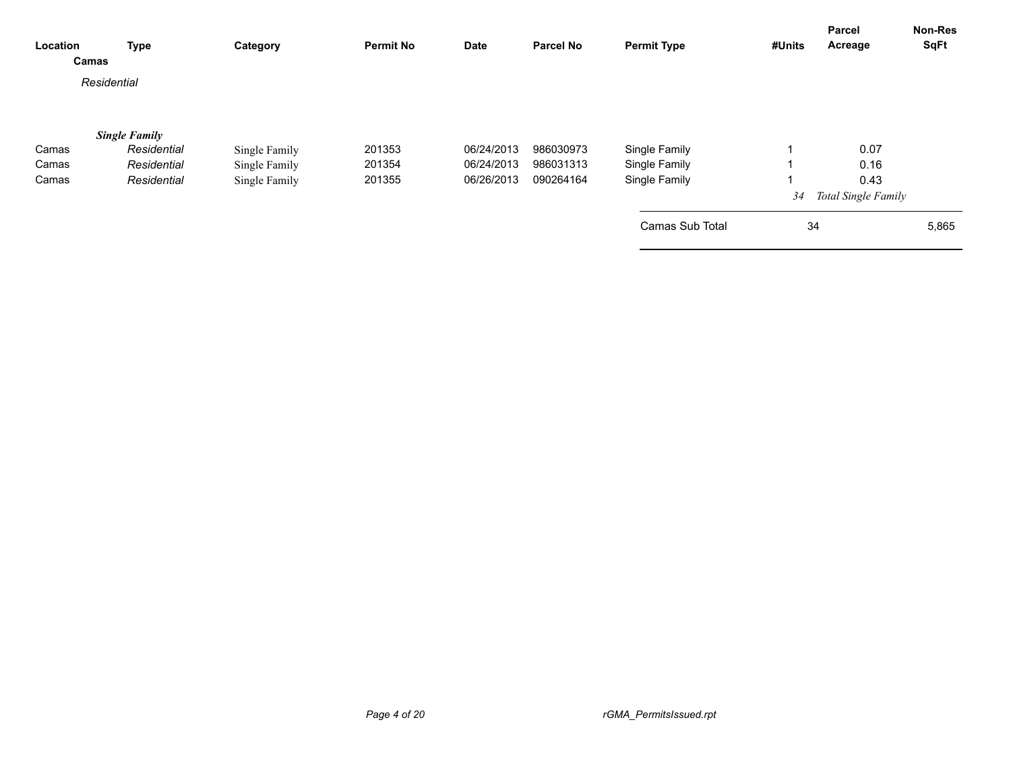| Location | <b>Type</b><br>Camas | Category      | <b>Permit No</b> | <b>Date</b> | <b>Parcel No</b> | <b>Permit Type</b> | #Units | <b>Parcel</b><br>Acreage   | <b>Non-Res</b><br><b>SqFt</b> |
|----------|----------------------|---------------|------------------|-------------|------------------|--------------------|--------|----------------------------|-------------------------------|
|          | Residential          |               |                  |             |                  |                    |        |                            |                               |
|          | <b>Single Family</b> |               |                  |             |                  |                    |        |                            |                               |
| Camas    | Residential          | Single Family | 201353           | 06/24/2013  | 986030973        | Single Family      |        | 0.07                       |                               |
| Camas    | Residential          | Single Family | 201354           | 06/24/2013  | 986031313        | Single Family      |        | 0.16                       |                               |
| Camas    | Residential          | Single Family | 201355           | 06/26/2013  | 090264164        | Single Family      |        | 0.43                       |                               |
|          |                      |               |                  |             |                  |                    | 34     | <b>Total Single Family</b> |                               |
|          |                      |               |                  |             |                  | Camas Sub Total    | 34     |                            | 5,865                         |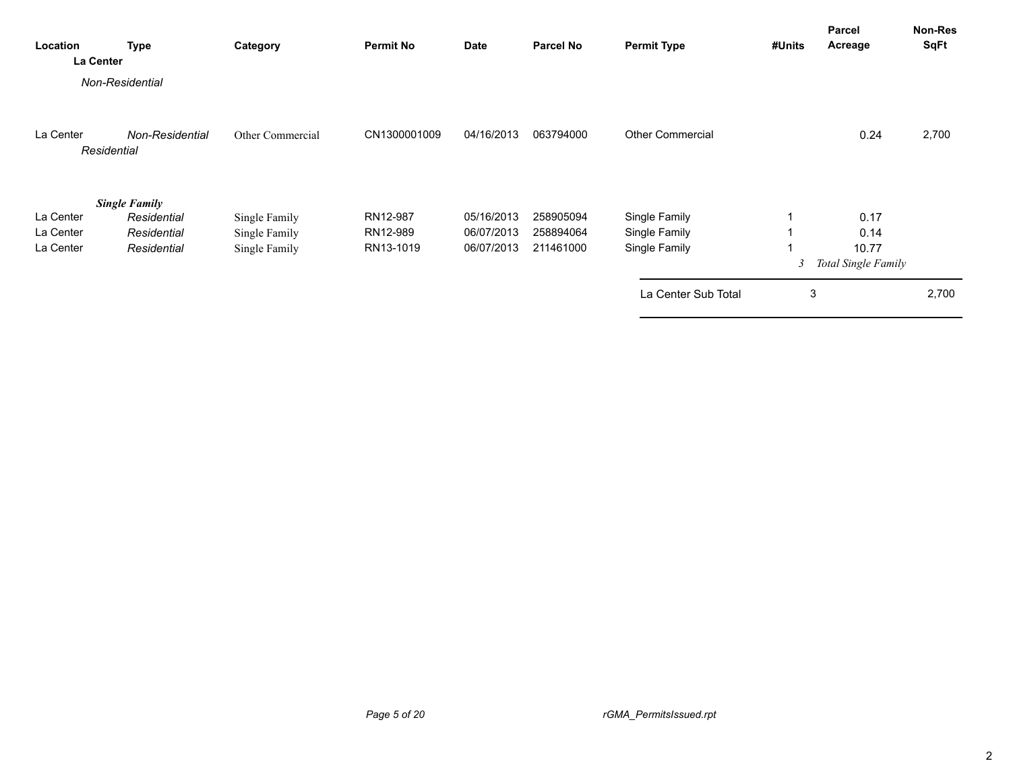| Location<br>La Center               | Type                                                              | Category                                        | <b>Permit No</b>                  | <b>Date</b>                            | <b>Parcel No</b>                    | <b>Permit Type</b>                              | #Units | Parcel<br>Acreage                                   | Non-Res<br><b>SqFt</b> |
|-------------------------------------|-------------------------------------------------------------------|-------------------------------------------------|-----------------------------------|----------------------------------------|-------------------------------------|-------------------------------------------------|--------|-----------------------------------------------------|------------------------|
|                                     | Non-Residential                                                   |                                                 |                                   |                                        |                                     |                                                 |        |                                                     |                        |
| La Center<br>Residential            | <b>Non-Residential</b>                                            | Other Commercial                                | CN1300001009                      | 04/16/2013                             | 063794000                           | <b>Other Commercial</b>                         |        | 0.24                                                | 2,700                  |
| La Center<br>La Center<br>La Center | <b>Single Family</b><br>Residential<br>Residential<br>Residential | Single Family<br>Single Family<br>Single Family | RN12-987<br>RN12-989<br>RN13-1019 | 05/16/2013<br>06/07/2013<br>06/07/2013 | 258905094<br>258894064<br>211461000 | Single Family<br>Single Family<br>Single Family | 3      | 0.17<br>0.14<br>10.77<br><b>Total Single Family</b> |                        |
|                                     |                                                                   |                                                 |                                   |                                        |                                     | La Center Sub Total                             | 3      |                                                     | 2,700                  |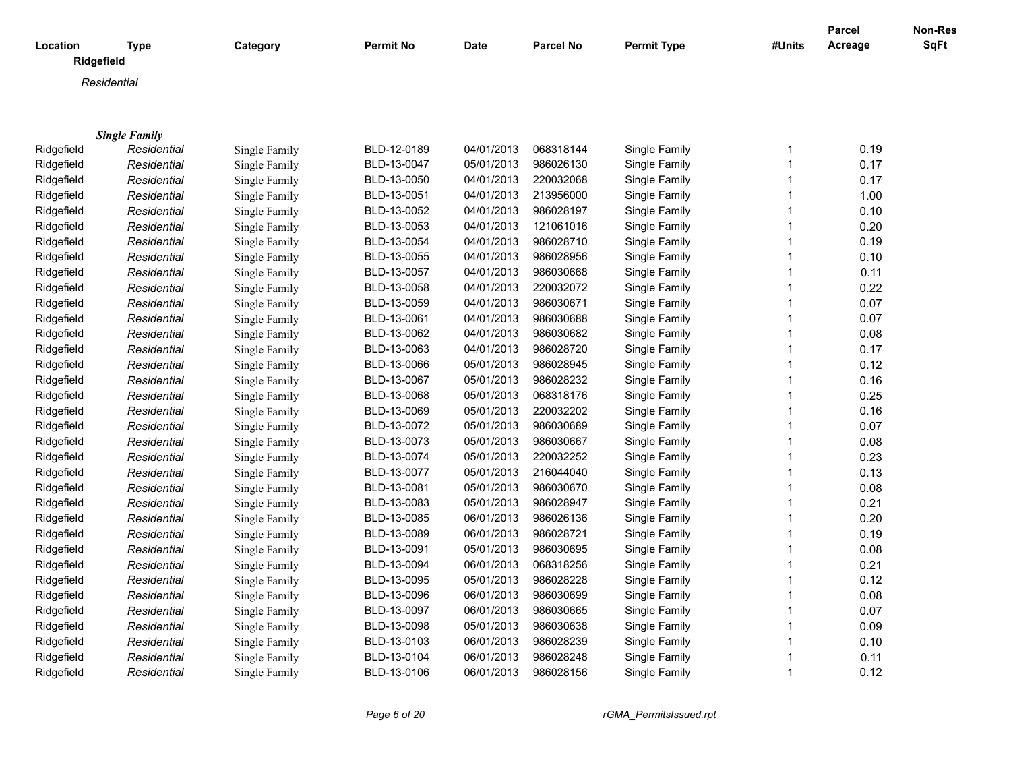|            |                           |               |                  |             |                  |                    |              | Parcel  | <b>Non-Res</b> |
|------------|---------------------------|---------------|------------------|-------------|------------------|--------------------|--------------|---------|----------------|
| Location   | <b>Type</b><br>Ridgefield | Category      | <b>Permit No</b> | <b>Date</b> | <b>Parcel No</b> | <b>Permit Type</b> | #Units       | Acreage | <b>SqFt</b>    |
|            | Residential               |               |                  |             |                  |                    |              |         |                |
|            |                           |               |                  |             |                  |                    |              |         |                |
|            |                           |               |                  |             |                  |                    |              |         |                |
|            | <b>Single Family</b>      |               |                  |             |                  |                    |              |         |                |
| Ridgefield | Residential               | Single Family | BLD-12-0189      | 04/01/2013  | 068318144        | Single Family      | 1            | 0.19    |                |
| Ridgefield | Residential               | Single Family | BLD-13-0047      | 05/01/2013  | 986026130        | Single Family      | 1            | 0.17    |                |
| Ridgefield | Residential               | Single Family | BLD-13-0050      | 04/01/2013  | 220032068        | Single Family      | 1            | 0.17    |                |
| Ridgefield | Residential               | Single Family | BLD-13-0051      | 04/01/2013  | 213956000        | Single Family      | 1            | 1.00    |                |
| Ridgefield | Residential               | Single Family | BLD-13-0052      | 04/01/2013  | 986028197        | Single Family      | 1            | 0.10    |                |
| Ridgefield | Residential               | Single Family | BLD-13-0053      | 04/01/2013  | 121061016        | Single Family      | 1            | 0.20    |                |
| Ridgefield | Residential               | Single Family | BLD-13-0054      | 04/01/2013  | 986028710        | Single Family      | 1            | 0.19    |                |
| Ridgefield | Residential               | Single Family | BLD-13-0055      | 04/01/2013  | 986028956        | Single Family      | 1            | 0.10    |                |
| Ridgefield | Residential               | Single Family | BLD-13-0057      | 04/01/2013  | 986030668        | Single Family      | 1            | 0.11    |                |
| Ridgefield | Residential               | Single Family | BLD-13-0058      | 04/01/2013  | 220032072        | Single Family      | 1            | 0.22    |                |
| Ridgefield | Residential               | Single Family | BLD-13-0059      | 04/01/2013  | 986030671        | Single Family      | 1            | 0.07    |                |
| Ridgefield | Residential               | Single Family | BLD-13-0061      | 04/01/2013  | 986030688        | Single Family      | 1            | 0.07    |                |
| Ridgefield | Residential               | Single Family | BLD-13-0062      | 04/01/2013  | 986030682        | Single Family      | 1            | 0.08    |                |
| Ridgefield | Residential               | Single Family | BLD-13-0063      | 04/01/2013  | 986028720        | Single Family      | 1            | 0.17    |                |
| Ridgefield | Residential               | Single Family | BLD-13-0066      | 05/01/2013  | 986028945        | Single Family      | 1            | 0.12    |                |
| Ridgefield | Residential               | Single Family | BLD-13-0067      | 05/01/2013  | 986028232        | Single Family      | 1            | 0.16    |                |
| Ridgefield | Residential               | Single Family | BLD-13-0068      | 05/01/2013  | 068318176        | Single Family      | $\mathbf{1}$ | 0.25    |                |
| Ridgefield | Residential               | Single Family | BLD-13-0069      | 05/01/2013  | 220032202        | Single Family      | 1            | 0.16    |                |
| Ridgefield | Residential               | Single Family | BLD-13-0072      | 05/01/2013  | 986030689        | Single Family      | 1            | 0.07    |                |
| Ridgefield | Residential               | Single Family | BLD-13-0073      | 05/01/2013  | 986030667        | Single Family      | 1            | 0.08    |                |
| Ridgefield | Residential               | Single Family | BLD-13-0074      | 05/01/2013  | 220032252        | Single Family      | 1            | 0.23    |                |
| Ridgefield | Residential               | Single Family | BLD-13-0077      | 05/01/2013  | 216044040        | Single Family      | 1            | 0.13    |                |
| Ridgefield | Residential               | Single Family | BLD-13-0081      | 05/01/2013  | 986030670        | Single Family      | 1            | 0.08    |                |
| Ridgefield | Residential               | Single Family | BLD-13-0083      | 05/01/2013  | 986028947        | Single Family      | 1            | 0.21    |                |
| Ridgefield | Residential               | Single Family | BLD-13-0085      | 06/01/2013  | 986026136        | Single Family      | 1            | 0.20    |                |
| Ridgefield | Residential               | Single Family | BLD-13-0089      | 06/01/2013  | 986028721        | Single Family      | 1            | 0.19    |                |
| Ridgefield | Residential               | Single Family | BLD-13-0091      | 05/01/2013  | 986030695        | Single Family      | 1            | 0.08    |                |
| Ridgefield | Residential               | Single Family | BLD-13-0094      | 06/01/2013  | 068318256        | Single Family      | 1            | 0.21    |                |
| Ridgefield | Residential               | Single Family | BLD-13-0095      | 05/01/2013  | 986028228        | Single Family      | 1            | 0.12    |                |
| Ridgefield | Residential               | Single Family | BLD-13-0096      | 06/01/2013  | 986030699        | Single Family      | 1            | 0.08    |                |
| Ridgefield | Residential               | Single Family | BLD-13-0097      | 06/01/2013  | 986030665        | Single Family      | 1            | 0.07    |                |
| Ridgefield | Residential               | Single Family | BLD-13-0098      | 05/01/2013  | 986030638        | Single Family      | 1            | 0.09    |                |
| Ridgefield | Residential               | Single Family | BLD-13-0103      | 06/01/2013  | 986028239        | Single Family      | 1            | 0.10    |                |
| Ridgefield | Residential               | Single Family | BLD-13-0104      | 06/01/2013  | 986028248        | Single Family      | 1            | 0.11    |                |
| Ridgefield | Residential               | Single Family | BLD-13-0106      | 06/01/2013  | 986028156        | Single Family      | 1            | 0.12    |                |

*Page 6 of 20 rGMA\_PermitsIssued.rpt*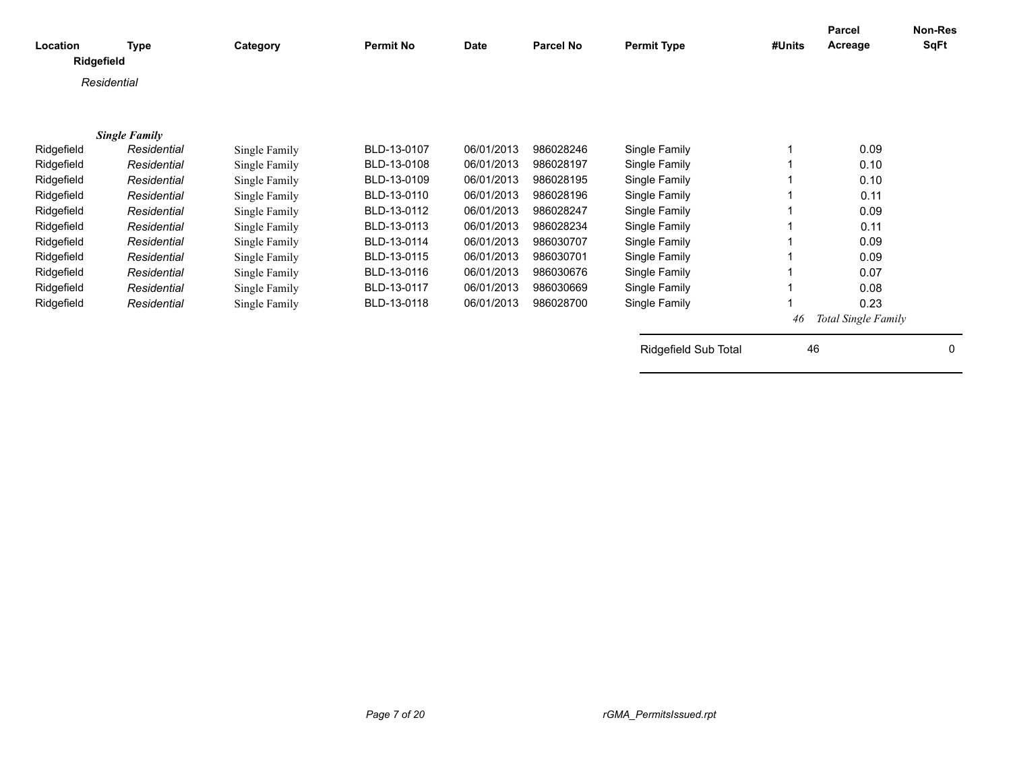| Location   | Type<br>Ridgefield   | Category      | <b>Permit No</b> | <b>Date</b> | Parcel No | <b>Permit Type</b>   | #Units | Parcel<br>Acreage   | Non-Res<br><b>SqFt</b> |
|------------|----------------------|---------------|------------------|-------------|-----------|----------------------|--------|---------------------|------------------------|
|            | Residential          |               |                  |             |           |                      |        |                     |                        |
|            |                      |               |                  |             |           |                      |        |                     |                        |
|            | <b>Single Family</b> |               |                  |             |           |                      |        |                     |                        |
| Ridgefield | Residential          | Single Family | BLD-13-0107      | 06/01/2013  | 986028246 | Single Family        |        | 0.09                |                        |
| Ridgefield | Residential          | Single Family | BLD-13-0108      | 06/01/2013  | 986028197 | Single Family        |        | 0.10                |                        |
| Ridgefield | Residential          | Single Family | BLD-13-0109      | 06/01/2013  | 986028195 | Single Family        |        | 0.10                |                        |
| Ridgefield | Residential          | Single Family | BLD-13-0110      | 06/01/2013  | 986028196 | Single Family        |        | 0.11                |                        |
| Ridgefield | Residential          | Single Family | BLD-13-0112      | 06/01/2013  | 986028247 | Single Family        |        | 0.09                |                        |
| Ridgefield | Residential          | Single Family | BLD-13-0113      | 06/01/2013  | 986028234 | Single Family        |        | 0.11                |                        |
| Ridgefield | Residential          | Single Family | BLD-13-0114      | 06/01/2013  | 986030707 | Single Family        |        | 0.09                |                        |
| Ridgefield | Residential          | Single Family | BLD-13-0115      | 06/01/2013  | 986030701 | Single Family        |        | 0.09                |                        |
| Ridgefield | Residential          | Single Family | BLD-13-0116      | 06/01/2013  | 986030676 | Single Family        |        | 0.07                |                        |
| Ridgefield | Residential          | Single Family | BLD-13-0117      | 06/01/2013  | 986030669 | Single Family        |        | 0.08                |                        |
| Ridgefield | Residential          | Single Family | BLD-13-0118      | 06/01/2013  | 986028700 | Single Family        |        | 0.23                |                        |
|            |                      |               |                  |             |           |                      | 46     | Total Single Family |                        |
|            |                      |               |                  |             |           | Ridgefield Sub Total | 46     |                     | $\mathbf{0}$           |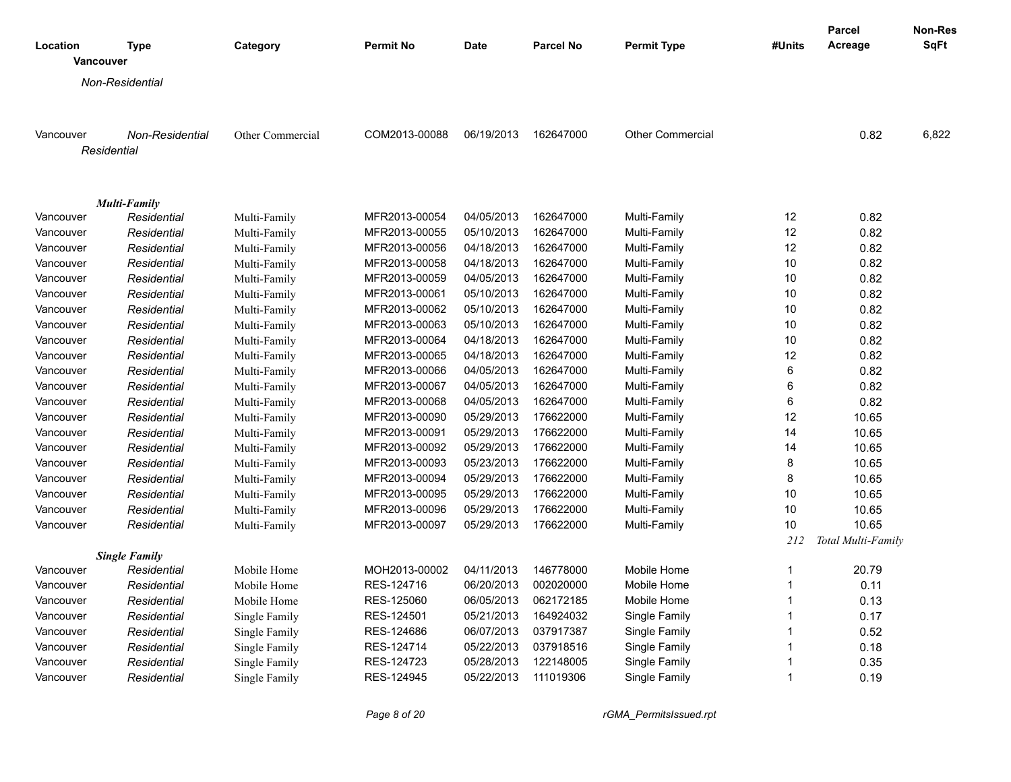|                              |                        |                  |                  |             |                  |                         |                | Parcel             | <b>Non-Res</b> |
|------------------------------|------------------------|------------------|------------------|-------------|------------------|-------------------------|----------------|--------------------|----------------|
| Location<br><b>Vancouver</b> | <b>Type</b>            | Category         | <b>Permit No</b> | <b>Date</b> | <b>Parcel No</b> | <b>Permit Type</b>      | #Units         | Acreage            | SqFt           |
|                              | Non-Residential        |                  |                  |             |                  |                         |                |                    |                |
|                              |                        |                  |                  |             |                  |                         |                |                    |                |
| Vancouver                    | <b>Non-Residential</b> | Other Commercial | COM2013-00088    | 06/19/2013  | 162647000        | <b>Other Commercial</b> |                | 0.82               | 6,822          |
|                              | Residential            |                  |                  |             |                  |                         |                |                    |                |
|                              |                        |                  |                  |             |                  |                         |                |                    |                |
|                              |                        |                  |                  |             |                  |                         |                |                    |                |
|                              | <b>Multi-Family</b>    |                  |                  |             |                  |                         |                |                    |                |
| Vancouver                    | Residential            | Multi-Family     | MFR2013-00054    | 04/05/2013  | 162647000        | Multi-Family            | 12             | 0.82               |                |
| Vancouver                    | Residential            | Multi-Family     | MFR2013-00055    | 05/10/2013  | 162647000        | Multi-Family            | 12             | 0.82               |                |
| Vancouver                    | Residential            | Multi-Family     | MFR2013-00056    | 04/18/2013  | 162647000        | Multi-Family            | 12             | 0.82               |                |
| Vancouver                    | Residential            | Multi-Family     | MFR2013-00058    | 04/18/2013  | 162647000        | Multi-Family            | 10             | 0.82               |                |
| Vancouver                    | Residential            | Multi-Family     | MFR2013-00059    | 04/05/2013  | 162647000        | Multi-Family            | 10             | 0.82               |                |
| Vancouver                    | Residential            | Multi-Family     | MFR2013-00061    | 05/10/2013  | 162647000        | Multi-Family            | 10             | 0.82               |                |
| Vancouver                    | Residential            | Multi-Family     | MFR2013-00062    | 05/10/2013  | 162647000        | Multi-Family            | 10             | 0.82               |                |
| Vancouver                    | Residential            | Multi-Family     | MFR2013-00063    | 05/10/2013  | 162647000        | Multi-Family            | 10             | 0.82               |                |
| Vancouver                    | Residential            | Multi-Family     | MFR2013-00064    | 04/18/2013  | 162647000        | Multi-Family            | 10             | 0.82               |                |
| Vancouver                    | Residential            | Multi-Family     | MFR2013-00065    | 04/18/2013  | 162647000        | Multi-Family            | 12             | 0.82               |                |
| Vancouver                    | Residential            | Multi-Family     | MFR2013-00066    | 04/05/2013  | 162647000        | Multi-Family            | $\,6\,$        | 0.82               |                |
| Vancouver                    | Residential            | Multi-Family     | MFR2013-00067    | 04/05/2013  | 162647000        | Multi-Family            | $\,6\,$        | 0.82               |                |
| Vancouver                    | Residential            | Multi-Family     | MFR2013-00068    | 04/05/2013  | 162647000        | Multi-Family            | $\,6\,$        | 0.82               |                |
| Vancouver                    | Residential            | Multi-Family     | MFR2013-00090    | 05/29/2013  | 176622000        | Multi-Family            | 12             | 10.65              |                |
| Vancouver                    | Residential            | Multi-Family     | MFR2013-00091    | 05/29/2013  | 176622000        | Multi-Family            | 14             | 10.65              |                |
| Vancouver                    | Residential            | Multi-Family     | MFR2013-00092    | 05/29/2013  | 176622000        | Multi-Family            | 14             | 10.65              |                |
| Vancouver                    | Residential            | Multi-Family     | MFR2013-00093    | 05/23/2013  | 176622000        | Multi-Family            | 8              | 10.65              |                |
| Vancouver                    | Residential            | Multi-Family     | MFR2013-00094    | 05/29/2013  | 176622000        | Multi-Family            | 8              | 10.65              |                |
| Vancouver                    | Residential            | Multi-Family     | MFR2013-00095    | 05/29/2013  | 176622000        | Multi-Family            | 10             | 10.65              |                |
| Vancouver                    | Residential            | Multi-Family     | MFR2013-00096    | 05/29/2013  | 176622000        | Multi-Family            | 10             | 10.65              |                |
| Vancouver                    | Residential            | Multi-Family     | MFR2013-00097    | 05/29/2013  | 176622000        | Multi-Family            | 10             | 10.65              |                |
|                              |                        |                  |                  |             |                  |                         | 212            | Total Multi-Family |                |
|                              | <b>Single Family</b>   |                  |                  |             |                  |                         |                |                    |                |
| Vancouver                    | Residential            | Mobile Home      | MOH2013-00002    | 04/11/2013  | 146778000        | Mobile Home             | $\mathbf{1}$   | 20.79              |                |
| Vancouver                    | Residential            | Mobile Home      | RES-124716       | 06/20/2013  | 002020000        | Mobile Home             | $\mathbf 1$    | 0.11               |                |
| Vancouver                    | Residential            | Mobile Home      | RES-125060       | 06/05/2013  | 062172185        | Mobile Home             | $\overline{1}$ | 0.13               |                |
| Vancouver                    | Residential            | Single Family    | RES-124501       | 05/21/2013  | 164924032        | Single Family           | $\overline{1}$ | 0.17               |                |
| Vancouver                    | Residential            | Single Family    | RES-124686       | 06/07/2013  | 037917387        | Single Family           | $\overline{1}$ | 0.52               |                |
| Vancouver                    | Residential            | Single Family    | RES-124714       | 05/22/2013  | 037918516        | Single Family           | $\mathbf 1$    | 0.18               |                |
| Vancouver                    | Residential            | Single Family    | RES-124723       | 05/28/2013  | 122148005        | Single Family           |                | 0.35               |                |
| Vancouver                    | Residential            | Single Family    | RES-124945       | 05/22/2013  | 111019306        | Single Family           | $\mathbf 1$    | 0.19               |                |
|                              |                        |                  |                  |             |                  |                         |                |                    |                |

*Page 8 of 20 rGMA\_PermitsIssued.rpt*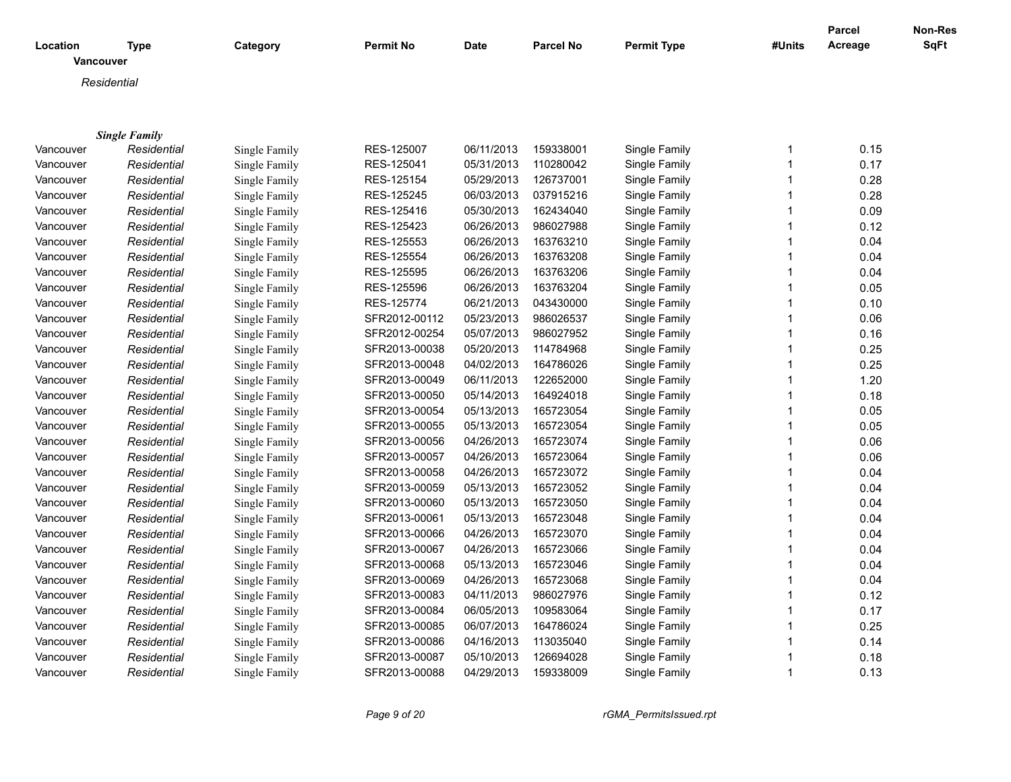|                              |                      |               |                  |             |                  |                    |        | <b>Parcel</b> | Non-Res     |
|------------------------------|----------------------|---------------|------------------|-------------|------------------|--------------------|--------|---------------|-------------|
| Location<br><b>Vancouver</b> | <b>Type</b>          | Category      | <b>Permit No</b> | <b>Date</b> | <b>Parcel No</b> | <b>Permit Type</b> | #Units | Acreage       | <b>SqFt</b> |
|                              | Residential          |               |                  |             |                  |                    |        |               |             |
|                              |                      |               |                  |             |                  |                    |        |               |             |
|                              |                      |               |                  |             |                  |                    |        |               |             |
|                              | <b>Single Family</b> |               |                  |             |                  |                    |        |               |             |
| Vancouver                    | Residential          | Single Family | RES-125007       | 06/11/2013  | 159338001        | Single Family      | 1      | 0.15          |             |
| Vancouver                    | Residential          | Single Family | RES-125041       | 05/31/2013  | 110280042        | Single Family      | 1      | 0.17          |             |
| Vancouver                    | Residential          | Single Family | RES-125154       | 05/29/2013  | 126737001        | Single Family      | 1      | 0.28          |             |
| Vancouver                    | Residential          | Single Family | RES-125245       | 06/03/2013  | 037915216        | Single Family      | 1      | 0.28          |             |
| Vancouver                    | Residential          | Single Family | RES-125416       | 05/30/2013  | 162434040        | Single Family      | 1      | 0.09          |             |
| Vancouver                    | Residential          | Single Family | RES-125423       | 06/26/2013  | 986027988        | Single Family      | 1      | 0.12          |             |
| Vancouver                    | Residential          | Single Family | RES-125553       | 06/26/2013  | 163763210        | Single Family      | 1      | 0.04          |             |
| Vancouver                    | Residential          | Single Family | RES-125554       | 06/26/2013  | 163763208        | Single Family      | 1      | 0.04          |             |
| Vancouver                    | Residential          | Single Family | RES-125595       | 06/26/2013  | 163763206        | Single Family      | 1      | 0.04          |             |
| Vancouver                    | Residential          | Single Family | RES-125596       | 06/26/2013  | 163763204        | Single Family      | 1      | 0.05          |             |
| Vancouver                    | Residential          | Single Family | RES-125774       | 06/21/2013  | 043430000        | Single Family      | 1      | 0.10          |             |
| Vancouver                    | Residential          | Single Family | SFR2012-00112    | 05/23/2013  | 986026537        | Single Family      | 1      | 0.06          |             |
| Vancouver                    | Residential          | Single Family | SFR2012-00254    | 05/07/2013  | 986027952        | Single Family      | 1      | 0.16          |             |
| Vancouver                    | Residential          | Single Family | SFR2013-00038    | 05/20/2013  | 114784968        | Single Family      | 1      | 0.25          |             |
| Vancouver                    | Residential          | Single Family | SFR2013-00048    | 04/02/2013  | 164786026        | Single Family      | 1      | 0.25          |             |
| Vancouver                    | Residential          | Single Family | SFR2013-00049    | 06/11/2013  | 122652000        | Single Family      | 1      | 1.20          |             |
| Vancouver                    | Residential          | Single Family | SFR2013-00050    | 05/14/2013  | 164924018        | Single Family      | 1      | 0.18          |             |
| Vancouver                    | Residential          | Single Family | SFR2013-00054    | 05/13/2013  | 165723054        | Single Family      | 1      | 0.05          |             |
| Vancouver                    | Residential          | Single Family | SFR2013-00055    | 05/13/2013  | 165723054        | Single Family      | 1      | 0.05          |             |
| Vancouver                    | Residential          | Single Family | SFR2013-00056    | 04/26/2013  | 165723074        | Single Family      | 1      | 0.06          |             |
| Vancouver                    | Residential          | Single Family | SFR2013-00057    | 04/26/2013  | 165723064        | Single Family      | 1      | 0.06          |             |
| Vancouver                    | Residential          | Single Family | SFR2013-00058    | 04/26/2013  | 165723072        | Single Family      | 1      | 0.04          |             |
| Vancouver                    | Residential          | Single Family | SFR2013-00059    | 05/13/2013  | 165723052        | Single Family      | 1      | 0.04          |             |
| Vancouver                    | Residential          | Single Family | SFR2013-00060    | 05/13/2013  | 165723050        | Single Family      | 1      | 0.04          |             |
| Vancouver                    | Residential          | Single Family | SFR2013-00061    | 05/13/2013  | 165723048        | Single Family      | 1      | 0.04          |             |
| Vancouver                    | Residential          | Single Family | SFR2013-00066    | 04/26/2013  | 165723070        | Single Family      | 1      | 0.04          |             |
| Vancouver                    | Residential          | Single Family | SFR2013-00067    | 04/26/2013  | 165723066        | Single Family      | 1      | 0.04          |             |
| Vancouver                    | Residential          | Single Family | SFR2013-00068    | 05/13/2013  | 165723046        | Single Family      | 1      | 0.04          |             |
| Vancouver                    | Residential          | Single Family | SFR2013-00069    | 04/26/2013  | 165723068        | Single Family      | 1      | 0.04          |             |
| Vancouver                    | Residential          | Single Family | SFR2013-00083    | 04/11/2013  | 986027976        | Single Family      | 1      | 0.12          |             |
| Vancouver                    | Residential          | Single Family | SFR2013-00084    | 06/05/2013  | 109583064        | Single Family      | 1      | 0.17          |             |
| Vancouver                    | Residential          | Single Family | SFR2013-00085    | 06/07/2013  | 164786024        | Single Family      | 1      | 0.25          |             |
| Vancouver                    | Residential          | Single Family | SFR2013-00086    | 04/16/2013  | 113035040        | Single Family      | 1      | 0.14          |             |
| Vancouver                    | Residential          | Single Family | SFR2013-00087    | 05/10/2013  | 126694028        | Single Family      |        | 0.18          |             |
| Vancouver                    | Residential          | Single Family | SFR2013-00088    | 04/29/2013  | 159338009        | Single Family      | 1      | 0.13          |             |

*Page 9 of 20 rGMA\_PermitsIssued.rpt*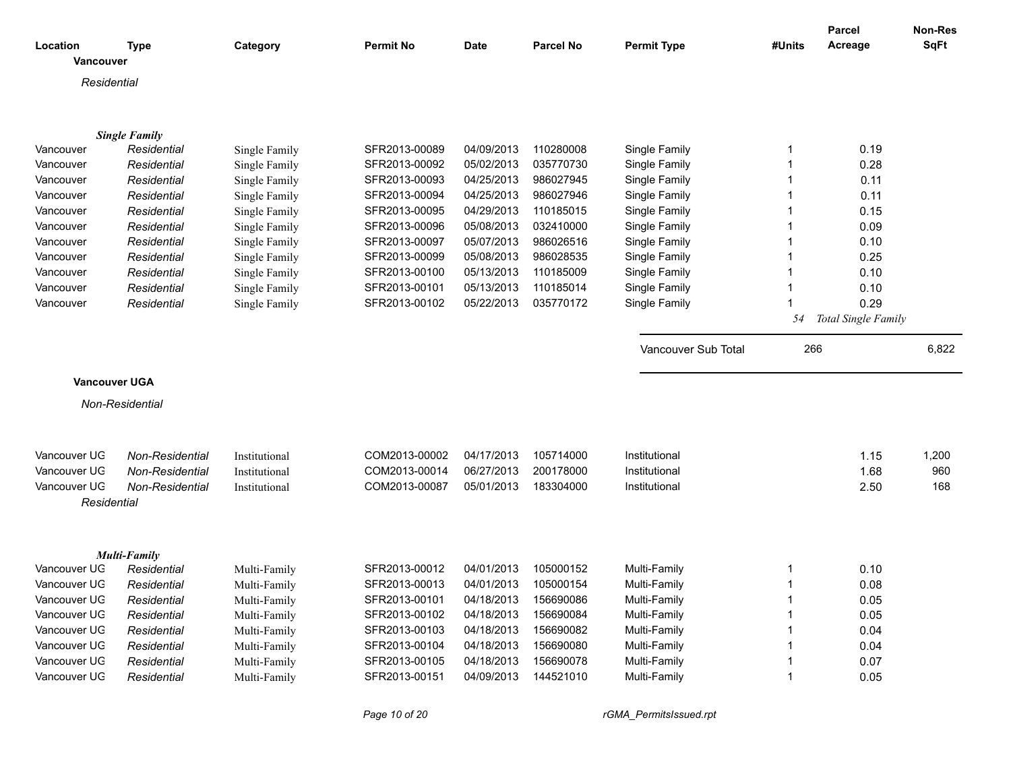|                      |                      |               |                  |             |                  |                     |        | Parcel              | <b>Non-Res</b> |
|----------------------|----------------------|---------------|------------------|-------------|------------------|---------------------|--------|---------------------|----------------|
| Location             | Type                 | Category      | <b>Permit No</b> | <b>Date</b> | <b>Parcel No</b> | <b>Permit Type</b>  | #Units | Acreage             | <b>SqFt</b>    |
| Vancouver            |                      |               |                  |             |                  |                     |        |                     |                |
| Residential          |                      |               |                  |             |                  |                     |        |                     |                |
|                      |                      |               |                  |             |                  |                     |        |                     |                |
|                      |                      |               |                  |             |                  |                     |        |                     |                |
|                      | <b>Single Family</b> |               |                  |             |                  |                     |        |                     |                |
| Vancouver            | Residential          | Single Family | SFR2013-00089    | 04/09/2013  | 110280008        | Single Family       | 1      | 0.19                |                |
| Vancouver            | Residential          | Single Family | SFR2013-00092    | 05/02/2013  | 035770730        | Single Family       |        | 0.28                |                |
| Vancouver            | Residential          | Single Family | SFR2013-00093    | 04/25/2013  | 986027945        | Single Family       |        | 0.11                |                |
| Vancouver            | Residential          | Single Family | SFR2013-00094    | 04/25/2013  | 986027946        | Single Family       |        | 0.11                |                |
| Vancouver            | Residential          | Single Family | SFR2013-00095    | 04/29/2013  | 110185015        | Single Family       |        | 0.15                |                |
| Vancouver            | Residential          | Single Family | SFR2013-00096    | 05/08/2013  | 032410000        | Single Family       |        | 0.09                |                |
| Vancouver            | Residential          | Single Family | SFR2013-00097    | 05/07/2013  | 986026516        | Single Family       |        | 0.10                |                |
| Vancouver            | Residential          | Single Family | SFR2013-00099    | 05/08/2013  | 986028535        | Single Family       | 1      | 0.25                |                |
| Vancouver            | Residential          | Single Family | SFR2013-00100    | 05/13/2013  | 110185009        | Single Family       | 1      | 0.10                |                |
| Vancouver            | Residential          | Single Family | SFR2013-00101    | 05/13/2013  | 110185014        | Single Family       |        | 0.10                |                |
| Vancouver            | Residential          | Single Family | SFR2013-00102    | 05/22/2013  | 035770172        | Single Family       |        | 0.29                |                |
|                      |                      |               |                  |             |                  |                     | 54     | Total Single Family |                |
|                      |                      |               |                  |             |                  | Vancouver Sub Total | 266    |                     | 6,822          |
|                      |                      |               |                  |             |                  |                     |        |                     |                |
| <b>Vancouver UGA</b> |                      |               |                  |             |                  |                     |        |                     |                |
|                      | Non-Residential      |               |                  |             |                  |                     |        |                     |                |
|                      |                      |               |                  |             |                  |                     |        |                     |                |
|                      |                      |               |                  |             |                  |                     |        |                     |                |
| Vancouver UG         | Non-Residential      | Institutional | COM2013-00002    | 04/17/2013  | 105714000        | Institutional       |        | 1.15                | 1,200          |
| Vancouver UG         | Non-Residential      | Institutional | COM2013-00014    | 06/27/2013  | 200178000        | Institutional       |        | 1.68                | 960            |
| Vancouver UG         | Non-Residential      | Institutional | COM2013-00087    | 05/01/2013  | 183304000        | Institutional       |        | 2.50                | 168            |
| Residential          |                      |               |                  |             |                  |                     |        |                     |                |
|                      |                      |               |                  |             |                  |                     |        |                     |                |
|                      | <b>Multi-Family</b>  |               |                  |             |                  |                     |        |                     |                |
| Vancouver UG         | Residential          | Multi-Family  | SFR2013-00012    | 04/01/2013  | 105000152        | Multi-Family        | 1      | 0.10                |                |
| Vancouver UG         | Residential          | Multi-Family  | SFR2013-00013    | 04/01/2013  | 105000154        | Multi-Family        | 1      | 0.08                |                |
| Vancouver UG         | Residential          | Multi-Family  | SFR2013-00101    | 04/18/2013  | 156690086        | Multi-Family        |        | 0.05                |                |
| Vancouver UG         | Residential          | Multi-Family  | SFR2013-00102    | 04/18/2013  | 156690084        | Multi-Family        |        | 0.05                |                |
| Vancouver UG         | Residential          | Multi-Family  | SFR2013-00103    | 04/18/2013  | 156690082        | Multi-Family        |        | 0.04                |                |
| Vancouver UG         | Residential          | Multi-Family  | SFR2013-00104    | 04/18/2013  | 156690080        | Multi-Family        |        | 0.04                |                |
| Vancouver UG         | Residential          | Multi-Family  | SFR2013-00105    | 04/18/2013  | 156690078        | Multi-Family        |        | 0.07                |                |
| Vancouver UG         | Residential          | Multi-Family  | SFR2013-00151    | 04/09/2013  | 144521010        | Multi-Family        |        | 0.05                |                |
|                      |                      |               |                  |             |                  |                     |        |                     |                |

*Page 10 of 20 rGMA\_PermitsIssued.rpt*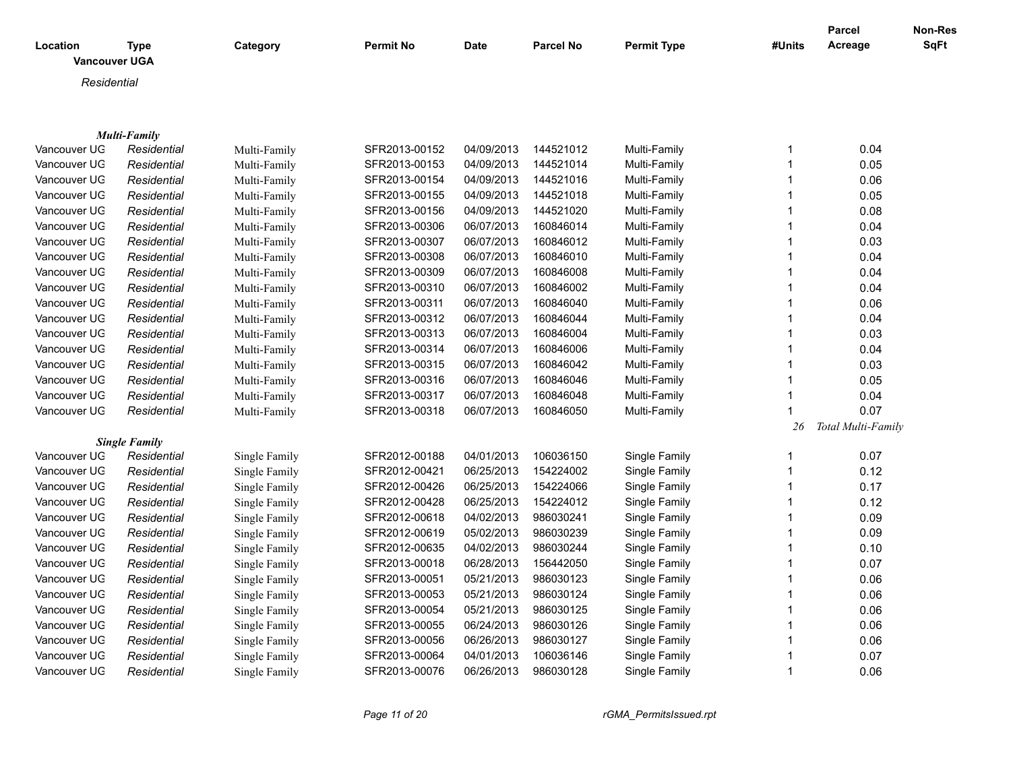| Location<br><b>Vancouver UGA</b> | <b>Type</b>                        | Category      | <b>Permit No</b> | <b>Date</b> | <b>Parcel No</b> | <b>Permit Type</b> | #Units       | <b>Parcel</b><br>Acreage | Non-Res<br><b>SqFt</b> |
|----------------------------------|------------------------------------|---------------|------------------|-------------|------------------|--------------------|--------------|--------------------------|------------------------|
|                                  |                                    |               |                  |             |                  |                    |              |                          |                        |
| Residential                      |                                    |               |                  |             |                  |                    |              |                          |                        |
|                                  |                                    |               |                  |             |                  |                    |              |                          |                        |
|                                  |                                    |               |                  |             |                  |                    |              |                          |                        |
| Vancouver UG                     | <b>Multi-Family</b><br>Residential | Multi-Family  | SFR2013-00152    | 04/09/2013  | 144521012        | Multi-Family       | 1            | 0.04                     |                        |
| Vancouver UG                     | Residential                        | Multi-Family  | SFR2013-00153    | 04/09/2013  | 144521014        | Multi-Family       | $\mathbf{1}$ | 0.05                     |                        |
| Vancouver UG                     | Residential                        | Multi-Family  | SFR2013-00154    | 04/09/2013  | 144521016        | Multi-Family       | $\mathbf{1}$ | 0.06                     |                        |
| Vancouver UG                     | Residential                        | Multi-Family  | SFR2013-00155    | 04/09/2013  | 144521018        | Multi-Family       | 1            | 0.05                     |                        |
| Vancouver UG                     | Residential                        | Multi-Family  | SFR2013-00156    | 04/09/2013  | 144521020        | Multi-Family       | $\mathbf{1}$ | 0.08                     |                        |
| Vancouver UG                     | Residential                        | Multi-Family  | SFR2013-00306    | 06/07/2013  | 160846014        | Multi-Family       | $\mathbf{1}$ | 0.04                     |                        |
| Vancouver UG                     | Residential                        | Multi-Family  | SFR2013-00307    | 06/07/2013  | 160846012        | Multi-Family       | 1            | 0.03                     |                        |
| Vancouver UG                     | Residential                        | Multi-Family  | SFR2013-00308    | 06/07/2013  | 160846010        | Multi-Family       | 1            | 0.04                     |                        |
| Vancouver UG                     | Residential                        | Multi-Family  | SFR2013-00309    | 06/07/2013  | 160846008        | Multi-Family       | $\mathbf{1}$ | 0.04                     |                        |
| Vancouver UG                     | Residential                        | Multi-Family  | SFR2013-00310    | 06/07/2013  | 160846002        | Multi-Family       | $\mathbf{1}$ | 0.04                     |                        |
| Vancouver UG                     | Residential                        | Multi-Family  | SFR2013-00311    | 06/07/2013  | 160846040        | Multi-Family       | $\mathbf{1}$ | 0.06                     |                        |
| Vancouver UG                     | Residential                        | Multi-Family  | SFR2013-00312    | 06/07/2013  | 160846044        | Multi-Family       | 1            | 0.04                     |                        |
| Vancouver UG                     | Residential                        | Multi-Family  | SFR2013-00313    | 06/07/2013  | 160846004        | Multi-Family       | 1            | 0.03                     |                        |
| Vancouver UG                     | Residential                        | Multi-Family  | SFR2013-00314    | 06/07/2013  | 160846006        | Multi-Family       | 1            | 0.04                     |                        |
| Vancouver UG                     | Residential                        | Multi-Family  | SFR2013-00315    | 06/07/2013  | 160846042        | Multi-Family       | $\mathbf{1}$ | 0.03                     |                        |
| Vancouver UG                     | Residential                        | Multi-Family  | SFR2013-00316    | 06/07/2013  | 160846046        | Multi-Family       | 1            | 0.05                     |                        |
| Vancouver UG                     | Residential                        | Multi-Family  | SFR2013-00317    | 06/07/2013  | 160846048        | Multi-Family       | $\mathbf{1}$ | 0.04                     |                        |
| Vancouver UG                     | Residential                        | Multi-Family  | SFR2013-00318    | 06/07/2013  | 160846050        | Multi-Family       | 1            | 0.07                     |                        |
|                                  |                                    |               |                  |             |                  |                    | 26           | Total Multi-Family       |                        |
|                                  | <b>Single Family</b>               |               |                  |             |                  |                    |              |                          |                        |
| Vancouver UG                     | Residential                        | Single Family | SFR2012-00188    | 04/01/2013  | 106036150        | Single Family      | 1            | 0.07                     |                        |
| Vancouver UG                     | Residential                        | Single Family | SFR2012-00421    | 06/25/2013  | 154224002        | Single Family      | $\mathbf{1}$ | 0.12                     |                        |
| Vancouver UG                     | Residential                        | Single Family | SFR2012-00426    | 06/25/2013  | 154224066        | Single Family      | 1            | 0.17                     |                        |
| Vancouver UG                     | Residential                        | Single Family | SFR2012-00428    | 06/25/2013  | 154224012        | Single Family      | $\mathbf{1}$ | 0.12                     |                        |
| Vancouver UG                     | Residential                        | Single Family | SFR2012-00618    | 04/02/2013  | 986030241        | Single Family      | 1            | 0.09                     |                        |
| Vancouver UG                     | Residential                        | Single Family | SFR2012-00619    | 05/02/2013  | 986030239        | Single Family      |              | 0.09                     |                        |
| Vancouver UG                     | Residential                        | Single Family | SFR2012-00635    | 04/02/2013  | 986030244        | Single Family      | 1            | 0.10                     |                        |
| Vancouver UG                     | Residential                        | Single Family | SFR2013-00018    | 06/28/2013  | 156442050        | Single Family      | $\mathbf 1$  | 0.07                     |                        |
| Vancouver UG                     | Residential                        | Single Family | SFR2013-00051    | 05/21/2013  | 986030123        | Single Family      | 1            | 0.06                     |                        |
| Vancouver UG                     | Residential                        | Single Family | SFR2013-00053    | 05/21/2013  | 986030124        | Single Family      | $\mathbf{1}$ | 0.06                     |                        |
| Vancouver UG                     | Residential                        | Single Family | SFR2013-00054    | 05/21/2013  | 986030125        | Single Family      | 1            | 0.06                     |                        |
| Vancouver UG                     | Residential                        | Single Family | SFR2013-00055    | 06/24/2013  | 986030126        | Single Family      | 1            | 0.06                     |                        |
| Vancouver UG                     | Residential                        | Single Family | SFR2013-00056    | 06/26/2013  | 986030127        | Single Family      | 1            | 0.06                     |                        |
| Vancouver UG                     | Residential                        | Single Family | SFR2013-00064    | 04/01/2013  | 106036146        | Single Family      |              | 0.07                     |                        |
| Vancouver UG                     | Residential                        | Single Family | SFR2013-00076    | 06/26/2013  | 986030128        | Single Family      | 1            | 0.06                     |                        |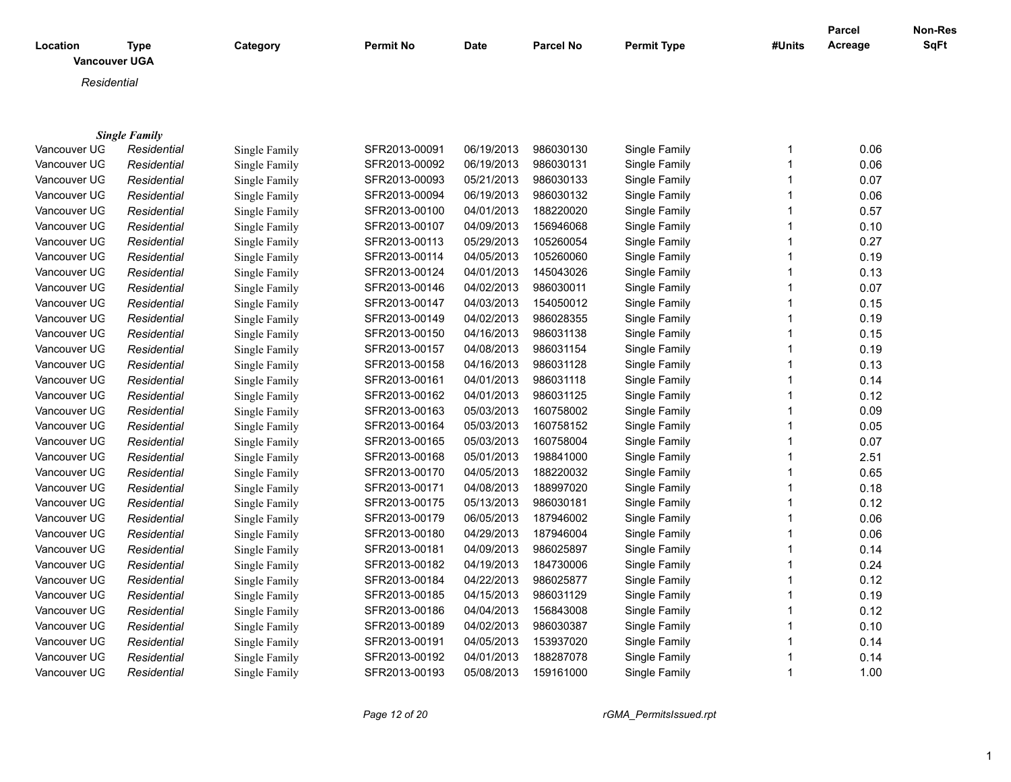| Residential<br><b>Single Family</b><br>0.06<br>Vancouver UG<br>Residential<br>SFR2013-00091<br>06/19/2013<br>986030130<br>Single Family<br>Single Family<br>1<br>Vancouver UG<br>SFR2013-00092<br>06/19/2013<br>986030131<br>Single Family<br>0.06<br>Residential<br>Single Family<br>1<br>0.07<br>Vancouver UG<br>Residential<br>Single Family<br>SFR2013-00093<br>05/21/2013<br>986030133<br>Single Family<br>06/19/2013<br>986030132<br>Single Family<br>0.06<br>Vancouver UG<br>Residential<br>Single Family<br>SFR2013-00094<br>$\mathbf 1$<br>0.57<br>Vancouver UG<br>SFR2013-00100<br>04/01/2013<br>188220020<br>Single Family<br>1<br>Residential<br>Single Family<br>Vancouver UG<br>04/09/2013<br>SFR2013-00107<br>156946068<br>Single Family<br>1<br>0.10<br>Residential<br>Single Family<br>0.27<br>Vancouver UG<br>SFR2013-00113<br>05/29/2013<br>105260054<br>Single Family<br>Residential<br>Single Family<br>1<br>Vancouver UG<br>SFR2013-00114<br>04/05/2013<br>105260060<br>0.19<br>Single Family<br>Residential<br>Single Family<br>0.13<br>Vancouver UG<br>SFR2013-00124<br>04/01/2013<br>145043026<br>Single Family<br>1<br>Residential<br>Single Family<br>0.07<br>Vancouver UG<br>SFR2013-00146<br>04/02/2013<br>986030011<br>Single Family<br>$\mathbf 1$<br>Residential<br>Single Family<br>0.15<br>Vancouver UG<br>SFR2013-00147<br>04/03/2013<br>154050012<br>Residential<br>Single Family<br>Single Family<br>1<br>0.19<br>Vancouver UG<br>SFR2013-00149<br>04/02/2013<br>986028355<br>Single Family<br>Residential<br>1<br>Single Family<br>Vancouver UG<br>SFR2013-00150<br>04/16/2013<br>986031138<br>Single Family<br>0.15<br>Residential<br>Single Family<br>04/08/2013<br>986031154<br>Vancouver UG<br>SFR2013-00157<br>Single Family<br>0.19<br>Residential<br>Single Family<br>0.13<br>Vancouver UG<br>SFR2013-00158<br>04/16/2013<br>986031128<br>Single Family<br>Residential<br>Single Family<br>0.14<br>Vancouver UG<br>SFR2013-00161<br>04/01/2013<br>986031118<br>Single Family<br>Residential<br>Single Family<br>1<br>04/01/2013<br>986031125<br>0.12<br>Vancouver UG<br>Residential<br>Single Family<br>SFR2013-00162<br>Single Family<br>1<br>0.09<br>Vancouver UG<br>SFR2013-00163<br>05/03/2013<br>160758002<br>Single Family<br>Residential<br>Single Family<br>Vancouver UG<br>0.05<br>Residential<br>SFR2013-00164<br>05/03/2013<br>160758152<br>Single Family<br>1<br>Single Family<br>0.07<br>Vancouver UG<br>SFR2013-00165<br>05/03/2013<br>160758004<br>Single Family<br>Residential<br>Single Family<br>Vancouver UG<br>05/01/2013<br>2.51<br>SFR2013-00168<br>198841000<br>Single Family<br>Residential<br>Single Family<br>Vancouver UG<br>SFR2013-00170<br>04/05/2013<br>188220032<br>Single Family<br>0.65<br>Residential<br>Single Family<br>1<br>Vancouver UG<br>04/08/2013<br>188997020<br>0.18<br>Residential<br>SFR2013-00171<br>Single Family<br>Single Family<br>1<br>0.12<br>Vancouver UG<br>SFR2013-00175<br>05/13/2013<br>986030181<br>Single Family<br>Residential<br>Single Family<br>1<br>06/05/2013<br>0.06<br>Vancouver UG<br>Residential<br>SFR2013-00179<br>187946002<br>Single Family<br>Single Family<br>1<br>0.06<br>Vancouver UG<br>SFR2013-00180<br>04/29/2013<br>187946004<br>Single Family<br>Residential<br>Single Family<br>0.14<br>Vancouver UG<br>SFR2013-00181<br>04/09/2013<br>986025897<br>Single Family<br>Residential<br>Single Family<br>Single Family<br>Vancouver UG<br>SFR2013-00182<br>04/19/2013<br>184730006<br>0.24<br>Residential<br>Single Family<br>1<br>Vancouver UG<br>SFR2013-00184<br>04/22/2013<br>986025877<br>0.12<br>Single Family<br>Residential<br>Single Family<br>Vancouver UG<br>SFR2013-00185<br>04/15/2013<br>986031129<br>Single Family<br>0.19<br>Residential<br>Single Family | Location<br><b>Vancouver UGA</b> | <b>Type</b> | Category      | <b>Permit No</b> | Date       | <b>Parcel No</b> | <b>Permit Type</b> | #Units | Parcel<br>Acreage | <b>Non-Res</b><br><b>SqFt</b> |
|---------------------------------------------------------------------------------------------------------------------------------------------------------------------------------------------------------------------------------------------------------------------------------------------------------------------------------------------------------------------------------------------------------------------------------------------------------------------------------------------------------------------------------------------------------------------------------------------------------------------------------------------------------------------------------------------------------------------------------------------------------------------------------------------------------------------------------------------------------------------------------------------------------------------------------------------------------------------------------------------------------------------------------------------------------------------------------------------------------------------------------------------------------------------------------------------------------------------------------------------------------------------------------------------------------------------------------------------------------------------------------------------------------------------------------------------------------------------------------------------------------------------------------------------------------------------------------------------------------------------------------------------------------------------------------------------------------------------------------------------------------------------------------------------------------------------------------------------------------------------------------------------------------------------------------------------------------------------------------------------------------------------------------------------------------------------------------------------------------------------------------------------------------------------------------------------------------------------------------------------------------------------------------------------------------------------------------------------------------------------------------------------------------------------------------------------------------------------------------------------------------------------------------------------------------------------------------------------------------------------------------------------------------------------------------------------------------------------------------------------------------------------------------------------------------------------------------------------------------------------------------------------------------------------------------------------------------------------------------------------------------------------------------------------------------------------------------------------------------------------------------------------------------------------------------------------------------------------------------------------------------------------------------------------------------------------------------------------------------------------------------------------------------------------------------------------------------------------------------------------------------------------------------------------------------------------------------------------------------------------------------------------------------------------------------------------------------------------------------------------------------------------------------------------------------|----------------------------------|-------------|---------------|------------------|------------|------------------|--------------------|--------|-------------------|-------------------------------|
|                                                                                                                                                                                                                                                                                                                                                                                                                                                                                                                                                                                                                                                                                                                                                                                                                                                                                                                                                                                                                                                                                                                                                                                                                                                                                                                                                                                                                                                                                                                                                                                                                                                                                                                                                                                                                                                                                                                                                                                                                                                                                                                                                                                                                                                                                                                                                                                                                                                                                                                                                                                                                                                                                                                                                                                                                                                                                                                                                                                                                                                                                                                                                                                                                                                                                                                                                                                                                                                                                                                                                                                                                                                                                                                                                                                                         |                                  |             |               |                  |            |                  |                    |        |                   |                               |
|                                                                                                                                                                                                                                                                                                                                                                                                                                                                                                                                                                                                                                                                                                                                                                                                                                                                                                                                                                                                                                                                                                                                                                                                                                                                                                                                                                                                                                                                                                                                                                                                                                                                                                                                                                                                                                                                                                                                                                                                                                                                                                                                                                                                                                                                                                                                                                                                                                                                                                                                                                                                                                                                                                                                                                                                                                                                                                                                                                                                                                                                                                                                                                                                                                                                                                                                                                                                                                                                                                                                                                                                                                                                                                                                                                                                         |                                  |             |               |                  |            |                  |                    |        |                   |                               |
|                                                                                                                                                                                                                                                                                                                                                                                                                                                                                                                                                                                                                                                                                                                                                                                                                                                                                                                                                                                                                                                                                                                                                                                                                                                                                                                                                                                                                                                                                                                                                                                                                                                                                                                                                                                                                                                                                                                                                                                                                                                                                                                                                                                                                                                                                                                                                                                                                                                                                                                                                                                                                                                                                                                                                                                                                                                                                                                                                                                                                                                                                                                                                                                                                                                                                                                                                                                                                                                                                                                                                                                                                                                                                                                                                                                                         |                                  |             |               |                  |            |                  |                    |        |                   |                               |
|                                                                                                                                                                                                                                                                                                                                                                                                                                                                                                                                                                                                                                                                                                                                                                                                                                                                                                                                                                                                                                                                                                                                                                                                                                                                                                                                                                                                                                                                                                                                                                                                                                                                                                                                                                                                                                                                                                                                                                                                                                                                                                                                                                                                                                                                                                                                                                                                                                                                                                                                                                                                                                                                                                                                                                                                                                                                                                                                                                                                                                                                                                                                                                                                                                                                                                                                                                                                                                                                                                                                                                                                                                                                                                                                                                                                         |                                  |             |               |                  |            |                  |                    |        |                   |                               |
|                                                                                                                                                                                                                                                                                                                                                                                                                                                                                                                                                                                                                                                                                                                                                                                                                                                                                                                                                                                                                                                                                                                                                                                                                                                                                                                                                                                                                                                                                                                                                                                                                                                                                                                                                                                                                                                                                                                                                                                                                                                                                                                                                                                                                                                                                                                                                                                                                                                                                                                                                                                                                                                                                                                                                                                                                                                                                                                                                                                                                                                                                                                                                                                                                                                                                                                                                                                                                                                                                                                                                                                                                                                                                                                                                                                                         |                                  |             |               |                  |            |                  |                    |        |                   |                               |
|                                                                                                                                                                                                                                                                                                                                                                                                                                                                                                                                                                                                                                                                                                                                                                                                                                                                                                                                                                                                                                                                                                                                                                                                                                                                                                                                                                                                                                                                                                                                                                                                                                                                                                                                                                                                                                                                                                                                                                                                                                                                                                                                                                                                                                                                                                                                                                                                                                                                                                                                                                                                                                                                                                                                                                                                                                                                                                                                                                                                                                                                                                                                                                                                                                                                                                                                                                                                                                                                                                                                                                                                                                                                                                                                                                                                         |                                  |             |               |                  |            |                  |                    |        |                   |                               |
|                                                                                                                                                                                                                                                                                                                                                                                                                                                                                                                                                                                                                                                                                                                                                                                                                                                                                                                                                                                                                                                                                                                                                                                                                                                                                                                                                                                                                                                                                                                                                                                                                                                                                                                                                                                                                                                                                                                                                                                                                                                                                                                                                                                                                                                                                                                                                                                                                                                                                                                                                                                                                                                                                                                                                                                                                                                                                                                                                                                                                                                                                                                                                                                                                                                                                                                                                                                                                                                                                                                                                                                                                                                                                                                                                                                                         |                                  |             |               |                  |            |                  |                    |        |                   |                               |
|                                                                                                                                                                                                                                                                                                                                                                                                                                                                                                                                                                                                                                                                                                                                                                                                                                                                                                                                                                                                                                                                                                                                                                                                                                                                                                                                                                                                                                                                                                                                                                                                                                                                                                                                                                                                                                                                                                                                                                                                                                                                                                                                                                                                                                                                                                                                                                                                                                                                                                                                                                                                                                                                                                                                                                                                                                                                                                                                                                                                                                                                                                                                                                                                                                                                                                                                                                                                                                                                                                                                                                                                                                                                                                                                                                                                         |                                  |             |               |                  |            |                  |                    |        |                   |                               |
|                                                                                                                                                                                                                                                                                                                                                                                                                                                                                                                                                                                                                                                                                                                                                                                                                                                                                                                                                                                                                                                                                                                                                                                                                                                                                                                                                                                                                                                                                                                                                                                                                                                                                                                                                                                                                                                                                                                                                                                                                                                                                                                                                                                                                                                                                                                                                                                                                                                                                                                                                                                                                                                                                                                                                                                                                                                                                                                                                                                                                                                                                                                                                                                                                                                                                                                                                                                                                                                                                                                                                                                                                                                                                                                                                                                                         |                                  |             |               |                  |            |                  |                    |        |                   |                               |
|                                                                                                                                                                                                                                                                                                                                                                                                                                                                                                                                                                                                                                                                                                                                                                                                                                                                                                                                                                                                                                                                                                                                                                                                                                                                                                                                                                                                                                                                                                                                                                                                                                                                                                                                                                                                                                                                                                                                                                                                                                                                                                                                                                                                                                                                                                                                                                                                                                                                                                                                                                                                                                                                                                                                                                                                                                                                                                                                                                                                                                                                                                                                                                                                                                                                                                                                                                                                                                                                                                                                                                                                                                                                                                                                                                                                         |                                  |             |               |                  |            |                  |                    |        |                   |                               |
|                                                                                                                                                                                                                                                                                                                                                                                                                                                                                                                                                                                                                                                                                                                                                                                                                                                                                                                                                                                                                                                                                                                                                                                                                                                                                                                                                                                                                                                                                                                                                                                                                                                                                                                                                                                                                                                                                                                                                                                                                                                                                                                                                                                                                                                                                                                                                                                                                                                                                                                                                                                                                                                                                                                                                                                                                                                                                                                                                                                                                                                                                                                                                                                                                                                                                                                                                                                                                                                                                                                                                                                                                                                                                                                                                                                                         |                                  |             |               |                  |            |                  |                    |        |                   |                               |
|                                                                                                                                                                                                                                                                                                                                                                                                                                                                                                                                                                                                                                                                                                                                                                                                                                                                                                                                                                                                                                                                                                                                                                                                                                                                                                                                                                                                                                                                                                                                                                                                                                                                                                                                                                                                                                                                                                                                                                                                                                                                                                                                                                                                                                                                                                                                                                                                                                                                                                                                                                                                                                                                                                                                                                                                                                                                                                                                                                                                                                                                                                                                                                                                                                                                                                                                                                                                                                                                                                                                                                                                                                                                                                                                                                                                         |                                  |             |               |                  |            |                  |                    |        |                   |                               |
|                                                                                                                                                                                                                                                                                                                                                                                                                                                                                                                                                                                                                                                                                                                                                                                                                                                                                                                                                                                                                                                                                                                                                                                                                                                                                                                                                                                                                                                                                                                                                                                                                                                                                                                                                                                                                                                                                                                                                                                                                                                                                                                                                                                                                                                                                                                                                                                                                                                                                                                                                                                                                                                                                                                                                                                                                                                                                                                                                                                                                                                                                                                                                                                                                                                                                                                                                                                                                                                                                                                                                                                                                                                                                                                                                                                                         |                                  |             |               |                  |            |                  |                    |        |                   |                               |
|                                                                                                                                                                                                                                                                                                                                                                                                                                                                                                                                                                                                                                                                                                                                                                                                                                                                                                                                                                                                                                                                                                                                                                                                                                                                                                                                                                                                                                                                                                                                                                                                                                                                                                                                                                                                                                                                                                                                                                                                                                                                                                                                                                                                                                                                                                                                                                                                                                                                                                                                                                                                                                                                                                                                                                                                                                                                                                                                                                                                                                                                                                                                                                                                                                                                                                                                                                                                                                                                                                                                                                                                                                                                                                                                                                                                         |                                  |             |               |                  |            |                  |                    |        |                   |                               |
|                                                                                                                                                                                                                                                                                                                                                                                                                                                                                                                                                                                                                                                                                                                                                                                                                                                                                                                                                                                                                                                                                                                                                                                                                                                                                                                                                                                                                                                                                                                                                                                                                                                                                                                                                                                                                                                                                                                                                                                                                                                                                                                                                                                                                                                                                                                                                                                                                                                                                                                                                                                                                                                                                                                                                                                                                                                                                                                                                                                                                                                                                                                                                                                                                                                                                                                                                                                                                                                                                                                                                                                                                                                                                                                                                                                                         |                                  |             |               |                  |            |                  |                    |        |                   |                               |
|                                                                                                                                                                                                                                                                                                                                                                                                                                                                                                                                                                                                                                                                                                                                                                                                                                                                                                                                                                                                                                                                                                                                                                                                                                                                                                                                                                                                                                                                                                                                                                                                                                                                                                                                                                                                                                                                                                                                                                                                                                                                                                                                                                                                                                                                                                                                                                                                                                                                                                                                                                                                                                                                                                                                                                                                                                                                                                                                                                                                                                                                                                                                                                                                                                                                                                                                                                                                                                                                                                                                                                                                                                                                                                                                                                                                         |                                  |             |               |                  |            |                  |                    |        |                   |                               |
|                                                                                                                                                                                                                                                                                                                                                                                                                                                                                                                                                                                                                                                                                                                                                                                                                                                                                                                                                                                                                                                                                                                                                                                                                                                                                                                                                                                                                                                                                                                                                                                                                                                                                                                                                                                                                                                                                                                                                                                                                                                                                                                                                                                                                                                                                                                                                                                                                                                                                                                                                                                                                                                                                                                                                                                                                                                                                                                                                                                                                                                                                                                                                                                                                                                                                                                                                                                                                                                                                                                                                                                                                                                                                                                                                                                                         |                                  |             |               |                  |            |                  |                    |        |                   |                               |
|                                                                                                                                                                                                                                                                                                                                                                                                                                                                                                                                                                                                                                                                                                                                                                                                                                                                                                                                                                                                                                                                                                                                                                                                                                                                                                                                                                                                                                                                                                                                                                                                                                                                                                                                                                                                                                                                                                                                                                                                                                                                                                                                                                                                                                                                                                                                                                                                                                                                                                                                                                                                                                                                                                                                                                                                                                                                                                                                                                                                                                                                                                                                                                                                                                                                                                                                                                                                                                                                                                                                                                                                                                                                                                                                                                                                         |                                  |             |               |                  |            |                  |                    |        |                   |                               |
|                                                                                                                                                                                                                                                                                                                                                                                                                                                                                                                                                                                                                                                                                                                                                                                                                                                                                                                                                                                                                                                                                                                                                                                                                                                                                                                                                                                                                                                                                                                                                                                                                                                                                                                                                                                                                                                                                                                                                                                                                                                                                                                                                                                                                                                                                                                                                                                                                                                                                                                                                                                                                                                                                                                                                                                                                                                                                                                                                                                                                                                                                                                                                                                                                                                                                                                                                                                                                                                                                                                                                                                                                                                                                                                                                                                                         |                                  |             |               |                  |            |                  |                    |        |                   |                               |
|                                                                                                                                                                                                                                                                                                                                                                                                                                                                                                                                                                                                                                                                                                                                                                                                                                                                                                                                                                                                                                                                                                                                                                                                                                                                                                                                                                                                                                                                                                                                                                                                                                                                                                                                                                                                                                                                                                                                                                                                                                                                                                                                                                                                                                                                                                                                                                                                                                                                                                                                                                                                                                                                                                                                                                                                                                                                                                                                                                                                                                                                                                                                                                                                                                                                                                                                                                                                                                                                                                                                                                                                                                                                                                                                                                                                         |                                  |             |               |                  |            |                  |                    |        |                   |                               |
|                                                                                                                                                                                                                                                                                                                                                                                                                                                                                                                                                                                                                                                                                                                                                                                                                                                                                                                                                                                                                                                                                                                                                                                                                                                                                                                                                                                                                                                                                                                                                                                                                                                                                                                                                                                                                                                                                                                                                                                                                                                                                                                                                                                                                                                                                                                                                                                                                                                                                                                                                                                                                                                                                                                                                                                                                                                                                                                                                                                                                                                                                                                                                                                                                                                                                                                                                                                                                                                                                                                                                                                                                                                                                                                                                                                                         |                                  |             |               |                  |            |                  |                    |        |                   |                               |
|                                                                                                                                                                                                                                                                                                                                                                                                                                                                                                                                                                                                                                                                                                                                                                                                                                                                                                                                                                                                                                                                                                                                                                                                                                                                                                                                                                                                                                                                                                                                                                                                                                                                                                                                                                                                                                                                                                                                                                                                                                                                                                                                                                                                                                                                                                                                                                                                                                                                                                                                                                                                                                                                                                                                                                                                                                                                                                                                                                                                                                                                                                                                                                                                                                                                                                                                                                                                                                                                                                                                                                                                                                                                                                                                                                                                         |                                  |             |               |                  |            |                  |                    |        |                   |                               |
|                                                                                                                                                                                                                                                                                                                                                                                                                                                                                                                                                                                                                                                                                                                                                                                                                                                                                                                                                                                                                                                                                                                                                                                                                                                                                                                                                                                                                                                                                                                                                                                                                                                                                                                                                                                                                                                                                                                                                                                                                                                                                                                                                                                                                                                                                                                                                                                                                                                                                                                                                                                                                                                                                                                                                                                                                                                                                                                                                                                                                                                                                                                                                                                                                                                                                                                                                                                                                                                                                                                                                                                                                                                                                                                                                                                                         |                                  |             |               |                  |            |                  |                    |        |                   |                               |
|                                                                                                                                                                                                                                                                                                                                                                                                                                                                                                                                                                                                                                                                                                                                                                                                                                                                                                                                                                                                                                                                                                                                                                                                                                                                                                                                                                                                                                                                                                                                                                                                                                                                                                                                                                                                                                                                                                                                                                                                                                                                                                                                                                                                                                                                                                                                                                                                                                                                                                                                                                                                                                                                                                                                                                                                                                                                                                                                                                                                                                                                                                                                                                                                                                                                                                                                                                                                                                                                                                                                                                                                                                                                                                                                                                                                         |                                  |             |               |                  |            |                  |                    |        |                   |                               |
|                                                                                                                                                                                                                                                                                                                                                                                                                                                                                                                                                                                                                                                                                                                                                                                                                                                                                                                                                                                                                                                                                                                                                                                                                                                                                                                                                                                                                                                                                                                                                                                                                                                                                                                                                                                                                                                                                                                                                                                                                                                                                                                                                                                                                                                                                                                                                                                                                                                                                                                                                                                                                                                                                                                                                                                                                                                                                                                                                                                                                                                                                                                                                                                                                                                                                                                                                                                                                                                                                                                                                                                                                                                                                                                                                                                                         |                                  |             |               |                  |            |                  |                    |        |                   |                               |
|                                                                                                                                                                                                                                                                                                                                                                                                                                                                                                                                                                                                                                                                                                                                                                                                                                                                                                                                                                                                                                                                                                                                                                                                                                                                                                                                                                                                                                                                                                                                                                                                                                                                                                                                                                                                                                                                                                                                                                                                                                                                                                                                                                                                                                                                                                                                                                                                                                                                                                                                                                                                                                                                                                                                                                                                                                                                                                                                                                                                                                                                                                                                                                                                                                                                                                                                                                                                                                                                                                                                                                                                                                                                                                                                                                                                         |                                  |             |               |                  |            |                  |                    |        |                   |                               |
|                                                                                                                                                                                                                                                                                                                                                                                                                                                                                                                                                                                                                                                                                                                                                                                                                                                                                                                                                                                                                                                                                                                                                                                                                                                                                                                                                                                                                                                                                                                                                                                                                                                                                                                                                                                                                                                                                                                                                                                                                                                                                                                                                                                                                                                                                                                                                                                                                                                                                                                                                                                                                                                                                                                                                                                                                                                                                                                                                                                                                                                                                                                                                                                                                                                                                                                                                                                                                                                                                                                                                                                                                                                                                                                                                                                                         |                                  |             |               |                  |            |                  |                    |        |                   |                               |
|                                                                                                                                                                                                                                                                                                                                                                                                                                                                                                                                                                                                                                                                                                                                                                                                                                                                                                                                                                                                                                                                                                                                                                                                                                                                                                                                                                                                                                                                                                                                                                                                                                                                                                                                                                                                                                                                                                                                                                                                                                                                                                                                                                                                                                                                                                                                                                                                                                                                                                                                                                                                                                                                                                                                                                                                                                                                                                                                                                                                                                                                                                                                                                                                                                                                                                                                                                                                                                                                                                                                                                                                                                                                                                                                                                                                         |                                  |             |               |                  |            |                  |                    |        |                   |                               |
|                                                                                                                                                                                                                                                                                                                                                                                                                                                                                                                                                                                                                                                                                                                                                                                                                                                                                                                                                                                                                                                                                                                                                                                                                                                                                                                                                                                                                                                                                                                                                                                                                                                                                                                                                                                                                                                                                                                                                                                                                                                                                                                                                                                                                                                                                                                                                                                                                                                                                                                                                                                                                                                                                                                                                                                                                                                                                                                                                                                                                                                                                                                                                                                                                                                                                                                                                                                                                                                                                                                                                                                                                                                                                                                                                                                                         |                                  |             |               |                  |            |                  |                    |        |                   |                               |
|                                                                                                                                                                                                                                                                                                                                                                                                                                                                                                                                                                                                                                                                                                                                                                                                                                                                                                                                                                                                                                                                                                                                                                                                                                                                                                                                                                                                                                                                                                                                                                                                                                                                                                                                                                                                                                                                                                                                                                                                                                                                                                                                                                                                                                                                                                                                                                                                                                                                                                                                                                                                                                                                                                                                                                                                                                                                                                                                                                                                                                                                                                                                                                                                                                                                                                                                                                                                                                                                                                                                                                                                                                                                                                                                                                                                         |                                  |             |               |                  |            |                  |                    |        |                   |                               |
|                                                                                                                                                                                                                                                                                                                                                                                                                                                                                                                                                                                                                                                                                                                                                                                                                                                                                                                                                                                                                                                                                                                                                                                                                                                                                                                                                                                                                                                                                                                                                                                                                                                                                                                                                                                                                                                                                                                                                                                                                                                                                                                                                                                                                                                                                                                                                                                                                                                                                                                                                                                                                                                                                                                                                                                                                                                                                                                                                                                                                                                                                                                                                                                                                                                                                                                                                                                                                                                                                                                                                                                                                                                                                                                                                                                                         |                                  |             |               |                  |            |                  |                    |        |                   |                               |
|                                                                                                                                                                                                                                                                                                                                                                                                                                                                                                                                                                                                                                                                                                                                                                                                                                                                                                                                                                                                                                                                                                                                                                                                                                                                                                                                                                                                                                                                                                                                                                                                                                                                                                                                                                                                                                                                                                                                                                                                                                                                                                                                                                                                                                                                                                                                                                                                                                                                                                                                                                                                                                                                                                                                                                                                                                                                                                                                                                                                                                                                                                                                                                                                                                                                                                                                                                                                                                                                                                                                                                                                                                                                                                                                                                                                         |                                  |             |               |                  |            |                  |                    |        |                   |                               |
|                                                                                                                                                                                                                                                                                                                                                                                                                                                                                                                                                                                                                                                                                                                                                                                                                                                                                                                                                                                                                                                                                                                                                                                                                                                                                                                                                                                                                                                                                                                                                                                                                                                                                                                                                                                                                                                                                                                                                                                                                                                                                                                                                                                                                                                                                                                                                                                                                                                                                                                                                                                                                                                                                                                                                                                                                                                                                                                                                                                                                                                                                                                                                                                                                                                                                                                                                                                                                                                                                                                                                                                                                                                                                                                                                                                                         |                                  |             |               |                  |            |                  |                    |        |                   |                               |
|                                                                                                                                                                                                                                                                                                                                                                                                                                                                                                                                                                                                                                                                                                                                                                                                                                                                                                                                                                                                                                                                                                                                                                                                                                                                                                                                                                                                                                                                                                                                                                                                                                                                                                                                                                                                                                                                                                                                                                                                                                                                                                                                                                                                                                                                                                                                                                                                                                                                                                                                                                                                                                                                                                                                                                                                                                                                                                                                                                                                                                                                                                                                                                                                                                                                                                                                                                                                                                                                                                                                                                                                                                                                                                                                                                                                         |                                  |             |               |                  |            |                  |                    |        |                   |                               |
|                                                                                                                                                                                                                                                                                                                                                                                                                                                                                                                                                                                                                                                                                                                                                                                                                                                                                                                                                                                                                                                                                                                                                                                                                                                                                                                                                                                                                                                                                                                                                                                                                                                                                                                                                                                                                                                                                                                                                                                                                                                                                                                                                                                                                                                                                                                                                                                                                                                                                                                                                                                                                                                                                                                                                                                                                                                                                                                                                                                                                                                                                                                                                                                                                                                                                                                                                                                                                                                                                                                                                                                                                                                                                                                                                                                                         | Vancouver UG                     | Residential | Single Family | SFR2013-00186    | 04/04/2013 | 156843008        | Single Family      | 1      | 0.12              |                               |

Vancouver UG *Residential* Single Family SFR2013-00189 04/02/2013 986030387 Single Family 1 0.10 Vancouver UGA *Residential* Single Family SFR2013-00191 04/05/2013 153937020 Single Family 1 0.14 Vancouver UGA *Residential* Single Family SFR2013-00192 04/01/2013 188287078 Single Family 1 0.14 Vancouver UG *Residential* Single Family SFR2013-00193 05/08/2013 159161000 Single Family 1 1.00

*Page 12 of 20 rGMA\_PermitsIssued.rpt*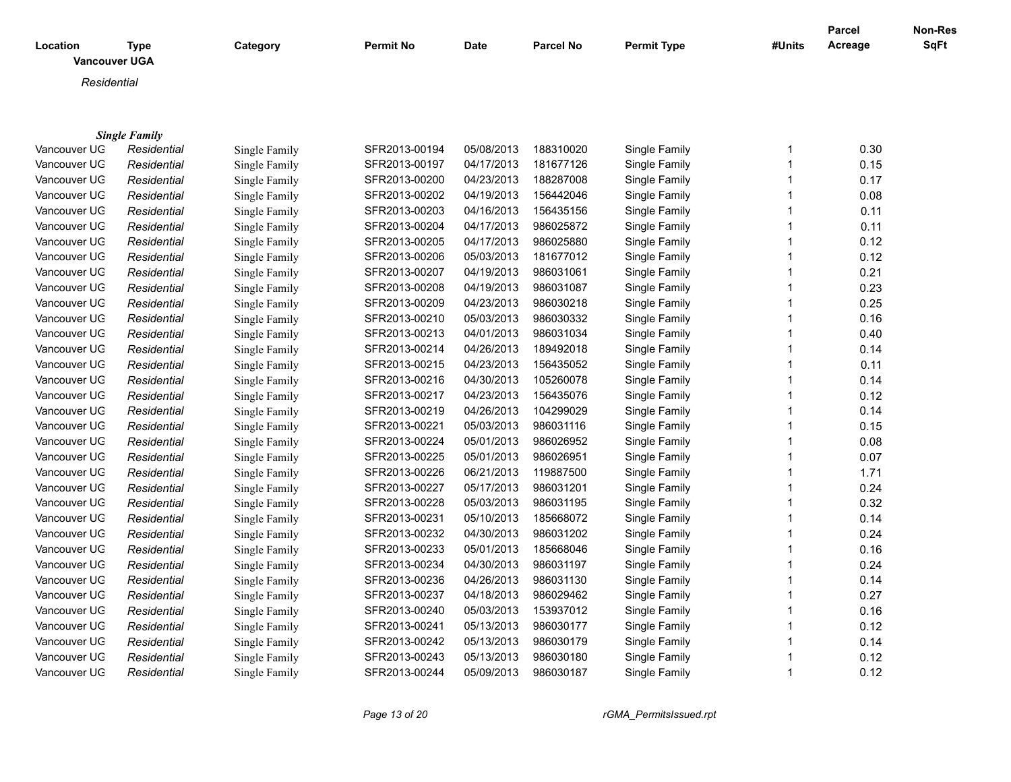|              |                                     |               |                  |             |                  |                    |              | <b>Parcel</b><br>Acreage | Non-Res<br>SqFt |
|--------------|-------------------------------------|---------------|------------------|-------------|------------------|--------------------|--------------|--------------------------|-----------------|
| Location     | <b>Type</b><br><b>Vancouver UGA</b> | Category      | <b>Permit No</b> | <b>Date</b> | <b>Parcel No</b> | <b>Permit Type</b> | #Units       |                          |                 |
|              |                                     |               |                  |             |                  |                    |              |                          |                 |
| Residential  |                                     |               |                  |             |                  |                    |              |                          |                 |
|              |                                     |               |                  |             |                  |                    |              |                          |                 |
|              | <b>Single Family</b>                |               |                  |             |                  |                    |              |                          |                 |
| Vancouver UG | Residential                         | Single Family | SFR2013-00194    | 05/08/2013  | 188310020        | Single Family      | 1            | 0.30                     |                 |
| Vancouver UG | Residential                         | Single Family | SFR2013-00197    | 04/17/2013  | 181677126        | Single Family      | 1            | 0.15                     |                 |
| Vancouver UG | Residential                         | Single Family | SFR2013-00200    | 04/23/2013  | 188287008        | Single Family      | 1            | 0.17                     |                 |
| Vancouver UG | Residential                         | Single Family | SFR2013-00202    | 04/19/2013  | 156442046        | Single Family      | 1            | 0.08                     |                 |
| Vancouver UG | Residential                         | Single Family | SFR2013-00203    | 04/16/2013  | 156435156        | Single Family      | 1            | 0.11                     |                 |
| Vancouver UG | Residential                         | Single Family | SFR2013-00204    | 04/17/2013  | 986025872        | Single Family      | 1            | 0.11                     |                 |
| Vancouver UG | Residential                         | Single Family | SFR2013-00205    | 04/17/2013  | 986025880        | Single Family      | 1            | 0.12                     |                 |
| Vancouver UG | Residential                         | Single Family | SFR2013-00206    | 05/03/2013  | 181677012        | Single Family      | 1            | 0.12                     |                 |
| Vancouver UG | Residential                         | Single Family | SFR2013-00207    | 04/19/2013  | 986031061        | Single Family      | $\mathbf{1}$ | 0.21                     |                 |
| Vancouver UG | Residential                         | Single Family | SFR2013-00208    | 04/19/2013  | 986031087        | Single Family      | $\mathbf 1$  | 0.23                     |                 |
| Vancouver UG | Residential                         | Single Family | SFR2013-00209    | 04/23/2013  | 986030218        | Single Family      | $\mathbf{1}$ | 0.25                     |                 |
| Vancouver UG | Residential                         | Single Family | SFR2013-00210    | 05/03/2013  | 986030332        | Single Family      | $\mathbf{1}$ | 0.16                     |                 |
| Vancouver UG | Residential                         | Single Family | SFR2013-00213    | 04/01/2013  | 986031034        | Single Family      | $\mathbf{1}$ | 0.40                     |                 |
| Vancouver UG | Residential                         | Single Family | SFR2013-00214    | 04/26/2013  | 189492018        | Single Family      | 1            | 0.14                     |                 |
| Vancouver UG | Residential                         | Single Family | SFR2013-00215    | 04/23/2013  | 156435052        | Single Family      | 1            | 0.11                     |                 |
| Vancouver UG | Residential                         | Single Family | SFR2013-00216    | 04/30/2013  | 105260078        | Single Family      | $\mathbf{1}$ | 0.14                     |                 |
| Vancouver UG | Residential                         | Single Family | SFR2013-00217    | 04/23/2013  | 156435076        | Single Family      | $\mathbf{1}$ | 0.12                     |                 |
| Vancouver UG | Residential                         | Single Family | SFR2013-00219    | 04/26/2013  | 104299029        | Single Family      | $\mathbf{1}$ | 0.14                     |                 |
| Vancouver UG | Residential                         | Single Family | SFR2013-00221    | 05/03/2013  | 986031116        | Single Family      | 1            | 0.15                     |                 |
| Vancouver UG | Residential                         | Single Family | SFR2013-00224    | 05/01/2013  | 986026952        | Single Family      | $\mathbf{1}$ | 0.08                     |                 |
| Vancouver UG | Residential                         | Single Family | SFR2013-00225    | 05/01/2013  | 986026951        | Single Family      | $\mathbf{1}$ | 0.07                     |                 |
| Vancouver UG | Residential                         | Single Family | SFR2013-00226    | 06/21/2013  | 119887500        | Single Family      | $\mathbf{1}$ | 1.71                     |                 |
| Vancouver UG | Residential                         | Single Family | SFR2013-00227    | 05/17/2013  | 986031201        | Single Family      | 1            | 0.24                     |                 |
| Vancouver UG | Residential                         | Single Family | SFR2013-00228    | 05/03/2013  | 986031195        | Single Family      | $\mathbf{1}$ | 0.32                     |                 |
| Vancouver UG | Residential                         | Single Family | SFR2013-00231    | 05/10/2013  | 185668072        | Single Family      | $\mathbf{1}$ | 0.14                     |                 |
| Vancouver UG | Residential                         | Single Family | SFR2013-00232    | 04/30/2013  | 986031202        | Single Family      | $\mathbf{1}$ | 0.24                     |                 |
| Vancouver UG | Residential                         | Single Family | SFR2013-00233    | 05/01/2013  | 185668046        | Single Family      | 1            | 0.16                     |                 |
| Vancouver UG | Residential                         | Single Family | SFR2013-00234    | 04/30/2013  | 986031197        | Single Family      | $\mathbf{1}$ | 0.24                     |                 |
| Vancouver UG | Residential                         | Single Family | SFR2013-00236    | 04/26/2013  | 986031130        | Single Family      | 1            | 0.14                     |                 |
| Vancouver UG | Residential                         | Single Family | SFR2013-00237    | 04/18/2013  | 986029462        | Single Family      | 1            | 0.27                     |                 |
| Vancouver UG | Residential                         | Single Family | SFR2013-00240    | 05/03/2013  | 153937012        | Single Family      | 1            | 0.16                     |                 |
| Vancouver UG | Residential                         | Single Family | SFR2013-00241    | 05/13/2013  | 986030177        | Single Family      | 1            | 0.12                     |                 |
| Vancouver UG | Residential                         | Single Family | SFR2013-00242    | 05/13/2013  | 986030179        | Single Family      | 1            | 0.14                     |                 |
| Vancouver UG | Residential                         | Single Family | SFR2013-00243    | 05/13/2013  | 986030180        | Single Family      | 1            | 0.12                     |                 |
| Vancouver UG | Residential                         | Single Family | SFR2013-00244    | 05/09/2013  | 986030187        | Single Family      | $\mathbf{1}$ | 0.12                     |                 |

*Page 13 of 20 rGMA\_PermitsIssued.rpt*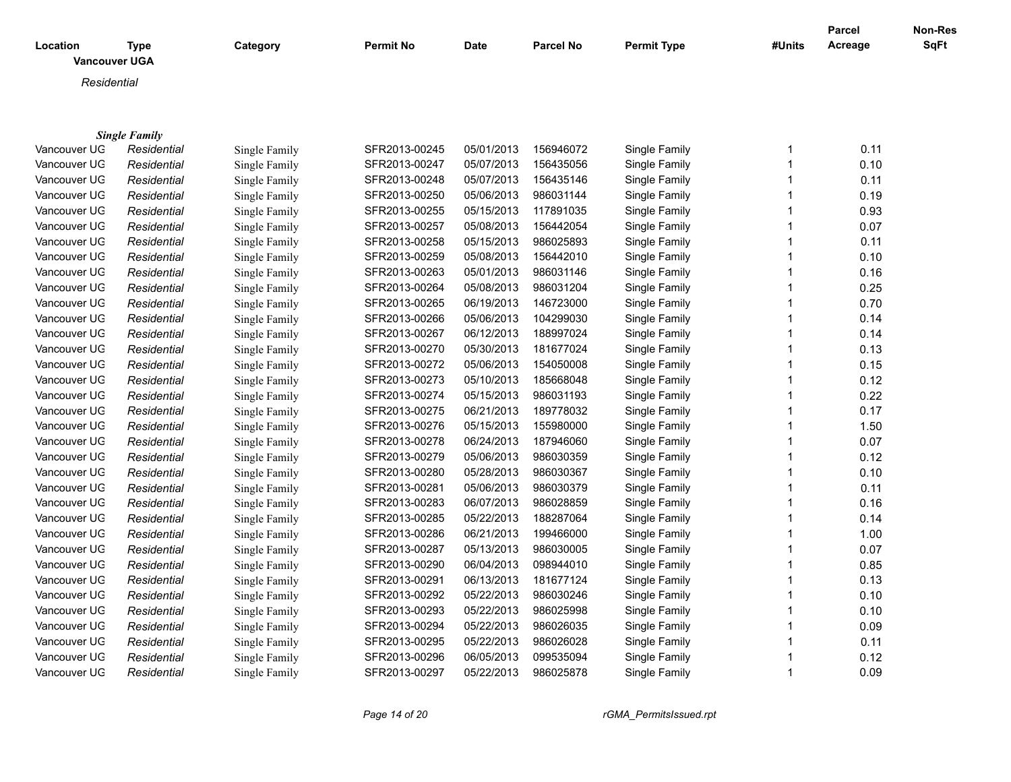| Location     | <b>Type</b>          | Category      | <b>Permit No</b> | <b>Date</b> | <b>Parcel No</b> | <b>Permit Type</b> | #Units       | <b>Parcel</b><br>Acreage | Non-Res<br><b>SqFt</b> |
|--------------|----------------------|---------------|------------------|-------------|------------------|--------------------|--------------|--------------------------|------------------------|
|              | <b>Vancouver UGA</b> |               |                  |             |                  |                    |              |                          |                        |
| Residential  |                      |               |                  |             |                  |                    |              |                          |                        |
|              |                      |               |                  |             |                  |                    |              |                          |                        |
|              |                      |               |                  |             |                  |                    |              |                          |                        |
|              | <b>Single Family</b> |               |                  |             |                  |                    |              |                          |                        |
| Vancouver UG | Residential          | Single Family | SFR2013-00245    | 05/01/2013  | 156946072        | Single Family      | $\mathbf{1}$ | 0.11                     |                        |
| Vancouver UG | Residential          | Single Family | SFR2013-00247    | 05/07/2013  | 156435056        | Single Family      | 1            | 0.10                     |                        |
| Vancouver UG | Residential          | Single Family | SFR2013-00248    | 05/07/2013  | 156435146        | Single Family      | 1            | 0.11                     |                        |
| Vancouver UG | Residential          | Single Family | SFR2013-00250    | 05/06/2013  | 986031144        | Single Family      | 1            | 0.19                     |                        |
| Vancouver UG | Residential          | Single Family | SFR2013-00255    | 05/15/2013  | 117891035        | Single Family      | 1            | 0.93                     |                        |
| Vancouver UG | Residential          | Single Family | SFR2013-00257    | 05/08/2013  | 156442054        | Single Family      | 1            | 0.07                     |                        |
| Vancouver UG | Residential          | Single Family | SFR2013-00258    | 05/15/2013  | 986025893        | Single Family      | 1            | 0.11                     |                        |
| Vancouver UG | Residential          | Single Family | SFR2013-00259    | 05/08/2013  | 156442010        | Single Family      | 1            | 0.10                     |                        |
| Vancouver UG | Residential          | Single Family | SFR2013-00263    | 05/01/2013  | 986031146        | Single Family      | 1            | 0.16                     |                        |
| Vancouver UG | Residential          | Single Family | SFR2013-00264    | 05/08/2013  | 986031204        | Single Family      | 1            | 0.25                     |                        |
| Vancouver UG | Residential          | Single Family | SFR2013-00265    | 06/19/2013  | 146723000        | Single Family      | 1            | 0.70                     |                        |
| Vancouver UG | Residential          | Single Family | SFR2013-00266    | 05/06/2013  | 104299030        | Single Family      | 1            | 0.14                     |                        |
| Vancouver UG | Residential          | Single Family | SFR2013-00267    | 06/12/2013  | 188997024        | Single Family      | 1            | 0.14                     |                        |
| Vancouver UG | Residential          | Single Family | SFR2013-00270    | 05/30/2013  | 181677024        | Single Family      | 1            | 0.13                     |                        |
| Vancouver UG | Residential          | Single Family | SFR2013-00272    | 05/06/2013  | 154050008        | Single Family      | 1            | 0.15                     |                        |
| Vancouver UG | Residential          | Single Family | SFR2013-00273    | 05/10/2013  | 185668048        | Single Family      | 1            | 0.12                     |                        |
| Vancouver UG | Residential          | Single Family | SFR2013-00274    | 05/15/2013  | 986031193        | Single Family      | 1            | 0.22                     |                        |
| Vancouver UG | Residential          | Single Family | SFR2013-00275    | 06/21/2013  | 189778032        | Single Family      | 1            | 0.17                     |                        |
| Vancouver UG | Residential          | Single Family | SFR2013-00276    | 05/15/2013  | 155980000        | Single Family      | 1            | 1.50                     |                        |
| Vancouver UG | Residential          | Single Family | SFR2013-00278    | 06/24/2013  | 187946060        | Single Family      | 1            | 0.07                     |                        |
| Vancouver UG | Residential          | Single Family | SFR2013-00279    | 05/06/2013  | 986030359        | Single Family      | 1            | 0.12                     |                        |
| Vancouver UG | Residential          | Single Family | SFR2013-00280    | 05/28/2013  | 986030367        | Single Family      | 1            | 0.10                     |                        |
| Vancouver UG | Residential          | Single Family | SFR2013-00281    | 05/06/2013  | 986030379        | Single Family      | 1            | 0.11                     |                        |
| Vancouver UG | Residential          | Single Family | SFR2013-00283    | 06/07/2013  | 986028859        | Single Family      | 1            | 0.16                     |                        |
| Vancouver UG | Residential          | Single Family | SFR2013-00285    | 05/22/2013  | 188287064        | Single Family      | 1            | 0.14                     |                        |
| Vancouver UG | Residential          | Single Family | SFR2013-00286    | 06/21/2013  | 199466000        | Single Family      | $\mathbf{1}$ | 1.00                     |                        |
| Vancouver UG | Residential          | Single Family | SFR2013-00287    | 05/13/2013  | 986030005        | Single Family      | 1            | 0.07                     |                        |
| Vancouver UG | Residential          | Single Family | SFR2013-00290    | 06/04/2013  | 098944010        | Single Family      | $\mathbf 1$  | 0.85                     |                        |
| Vancouver UG | Residential          | Single Family | SFR2013-00291    | 06/13/2013  | 181677124        | Single Family      | 1            | 0.13                     |                        |
| Vancouver UG | Residential          | Single Family | SFR2013-00292    | 05/22/2013  | 986030246        | Single Family      | 1            | 0.10                     |                        |
| Vancouver UG | Residential          | Single Family | SFR2013-00293    | 05/22/2013  | 986025998        | Single Family      | 1            | 0.10                     |                        |
| Vancouver UG | Residential          | Single Family | SFR2013-00294    | 05/22/2013  | 986026035        | Single Family      | 1            | 0.09                     |                        |
| Vancouver UG | Residential          | Single Family | SFR2013-00295    | 05/22/2013  | 986026028        | Single Family      | 1            | 0.11                     |                        |
| Vancouver UG | Residential          | Single Family | SFR2013-00296    | 06/05/2013  | 099535094        | Single Family      | 1            | 0.12                     |                        |
| Vancouver UG | Residential          | Single Family | SFR2013-00297    | 05/22/2013  | 986025878        | Single Family      | $\mathbf{1}$ | 0.09                     |                        |

*Page 14 of 20 rGMA\_PermitsIssued.rpt*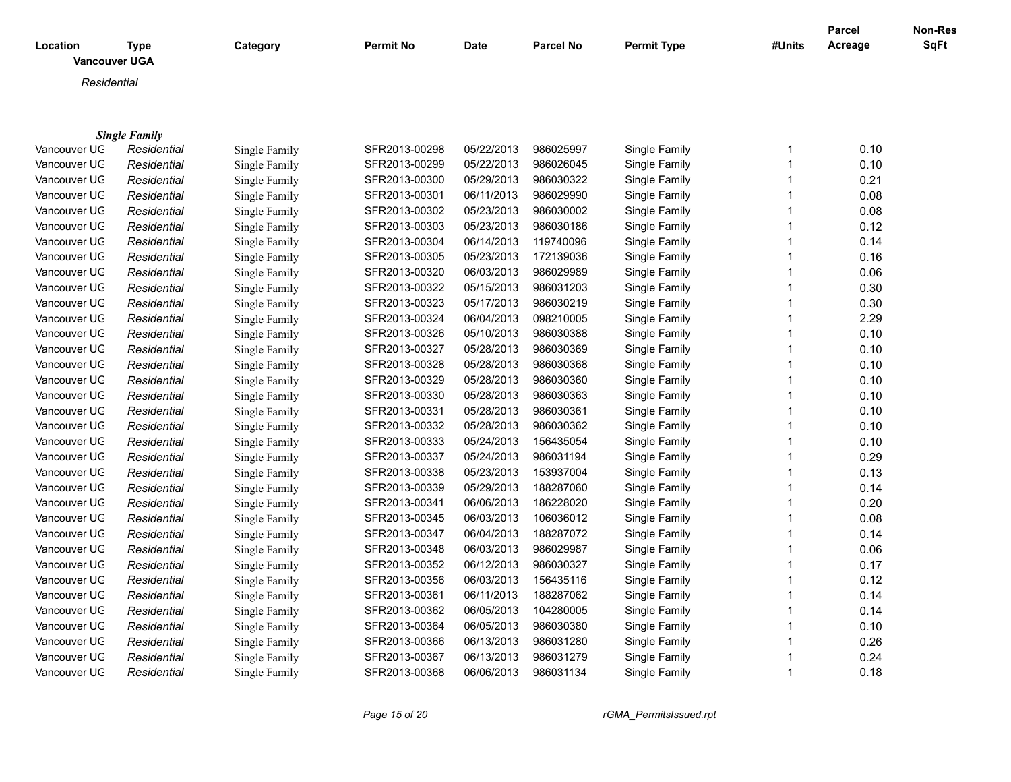| Location<br><b>Vancouver UGA</b> | Type                 | Category      | <b>Permit No</b> | Date       | <b>Parcel No</b> | <b>Permit Type</b> | #Units | <b>Parcel</b><br>Acreage | Non-Res<br><b>SqFt</b> |
|----------------------------------|----------------------|---------------|------------------|------------|------------------|--------------------|--------|--------------------------|------------------------|
| Residential                      |                      |               |                  |            |                  |                    |        |                          |                        |
|                                  |                      |               |                  |            |                  |                    |        |                          |                        |
|                                  | <b>Single Family</b> |               |                  |            |                  |                    |        |                          |                        |
| Vancouver UG                     | Residential          | Single Family | SFR2013-00298    | 05/22/2013 | 986025997        | Single Family      |        | 0.10                     |                        |
| Vancouver UG                     | Residential          | Single Family | SFR2013-00299    | 05/22/2013 | 986026045        | Single Family      |        | 0.10                     |                        |
| Vancouver UG                     | Residential          | Single Family | SFR2013-00300    | 05/29/2013 | 986030322        | Single Family      |        | 0.21                     |                        |
| Vancouver UG                     | Residential          | Single Family | SFR2013-00301    | 06/11/2013 | 986029990        | Single Family      |        | 0.08                     |                        |
| Vancouver UG                     | Residential          | Single Family | SFR2013-00302    | 05/23/2013 | 986030002        | Single Family      |        | 0.08                     |                        |
| Vancouver UG                     | Residential          | Single Family | SFR2013-00303    | 05/23/2013 | 986030186        | Single Family      |        | 0.12                     |                        |
| Vancouver UG                     | Residential          | Single Family | SFR2013-00304    | 06/14/2013 | 119740096        | Single Family      |        | 0.14                     |                        |
| Vancouver UG                     | Residential          | Single Family | SFR2013-00305    | 05/23/2013 | 172139036        | Single Family      |        | 0.16                     |                        |
|                                  |                      |               |                  |            |                  |                    |        |                          |                        |

| vancouver o <del>u</del> | Residential | Single Family | SFRZU 13-00304 | 00/14/2013 | 119740090 | Single Family | V. 14 |
|--------------------------|-------------|---------------|----------------|------------|-----------|---------------|-------|
| Vancouver UG             | Residential | Single Family | SFR2013-00305  | 05/23/2013 | 172139036 | Single Family | 0.16  |
| Vancouver UG             | Residential | Single Family | SFR2013-00320  | 06/03/2013 | 986029989 | Single Family | 0.06  |
| Vancouver UG             | Residential | Single Family | SFR2013-00322  | 05/15/2013 | 986031203 | Single Family | 0.30  |
| Vancouver UG             | Residential | Single Family | SFR2013-00323  | 05/17/2013 | 986030219 | Single Family | 0.30  |
| Vancouver UG             | Residential | Single Family | SFR2013-00324  | 06/04/2013 | 098210005 | Single Family | 2.29  |
| Vancouver UG             | Residential | Single Family | SFR2013-00326  | 05/10/2013 | 986030388 | Single Family | 0.10  |
| Vancouver UG             | Residential | Single Family | SFR2013-00327  | 05/28/2013 | 986030369 | Single Family | 0.10  |
| Vancouver UG             | Residential | Single Family | SFR2013-00328  | 05/28/2013 | 986030368 | Single Family | 0.10  |
| Vancouver UG             | Residential | Single Family | SFR2013-00329  | 05/28/2013 | 986030360 | Single Family | 0.10  |
| Vancouver UG             | Residential | Single Family | SFR2013-00330  | 05/28/2013 | 986030363 | Single Family | 0.10  |
| Vancouver UG             | Residential | Single Family | SFR2013-00331  | 05/28/2013 | 986030361 | Single Family | 0.10  |
| Vancouver UG             | Residential | Single Family | SFR2013-00332  | 05/28/2013 | 986030362 | Single Family | 0.10  |
| Vancouver UG             | Residential | Single Family | SFR2013-00333  | 05/24/2013 | 156435054 | Single Family | 0.10  |
| Vancouver UG             | Residential | Single Family | SFR2013-00337  | 05/24/2013 | 986031194 | Single Family | 0.29  |
| Vancouver UG             | Residential | Single Family | SFR2013-00338  | 05/23/2013 | 153937004 | Single Family | 0.13  |
| Vancouver UG             | Residential | Single Family | SFR2013-00339  | 05/29/2013 | 188287060 | Single Family | 0.14  |
| Vancouver UG             | Residential | Single Family | SFR2013-00341  | 06/06/2013 | 186228020 | Single Family | 0.20  |
| Vancouver UG             | Residential | Single Family | SFR2013-00345  | 06/03/2013 | 106036012 | Single Family | 0.08  |
| Vancouver UG             | Residential | Single Family | SFR2013-00347  | 06/04/2013 | 188287072 | Single Family | 0.14  |
| Vancouver UG             | Residential | Single Family | SFR2013-00348  | 06/03/2013 | 986029987 | Single Family | 0.06  |
| Vancouver UG             | Residential | Single Family | SFR2013-00352  | 06/12/2013 | 986030327 | Single Family | 0.17  |
| Vancouver UG             | Residential | Single Family | SFR2013-00356  | 06/03/2013 | 156435116 | Single Family | 0.12  |
| Vancouver UG             | Residential | Single Family | SFR2013-00361  | 06/11/2013 | 188287062 | Single Family | 0.14  |
| Vancouver UG             | Residential | Single Family | SFR2013-00362  | 06/05/2013 | 104280005 | Single Family | 0.14  |
| Vancouver UG             | Residential | Single Family | SFR2013-00364  | 06/05/2013 | 986030380 | Single Family | 0.10  |
| Vancouver UG             | Residential | Single Family | SFR2013-00366  | 06/13/2013 | 986031280 | Single Family | 0.26  |
| Vancouver UG             | Residential | Single Family | SFR2013-00367  | 06/13/2013 | 986031279 | Single Family | 0.24  |
| Vancouver UG             | Residential | Single Family | SFR2013-00368  | 06/06/2013 | 986031134 | Single Family | 0.18  |
|                          |             |               |                |            |           |               |       |

*Page 15 of 20 rGMA\_PermitsIssued.rpt*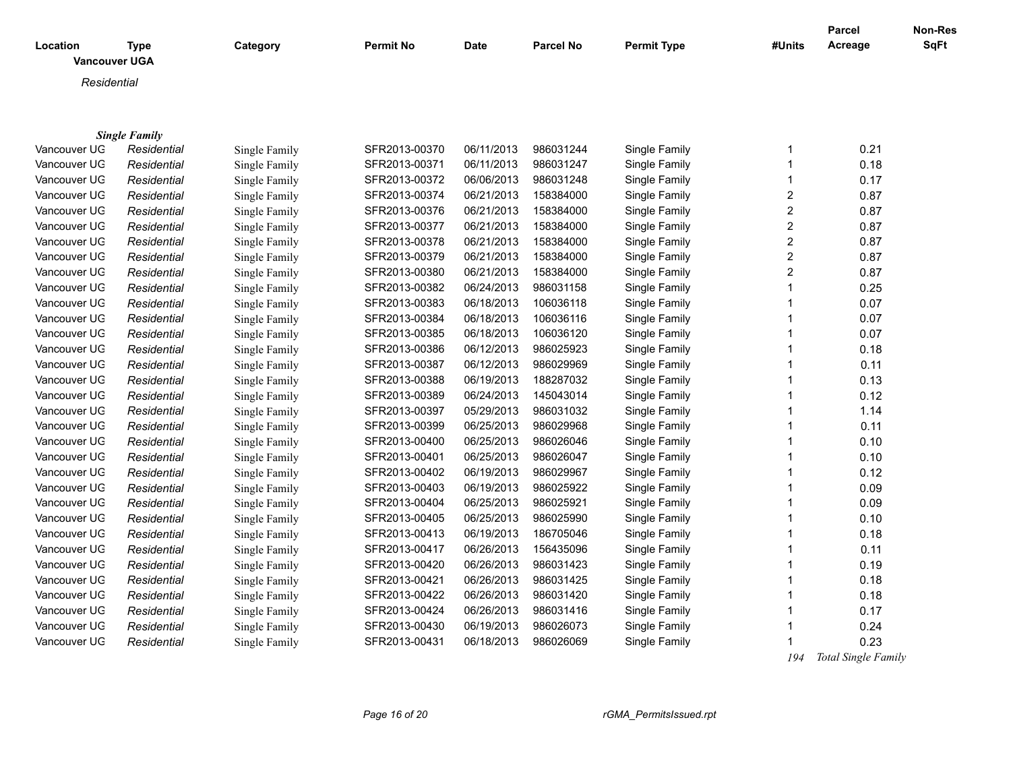| Location     | <b>Type</b>          | Category      | <b>Permit No</b> | Date       | <b>Parcel No</b> | <b>Permit Type</b> | #Units           | <b>Parcel</b><br>Acreage | Non-Res<br>SqFt |
|--------------|----------------------|---------------|------------------|------------|------------------|--------------------|------------------|--------------------------|-----------------|
|              | <b>Vancouver UGA</b> |               |                  |            |                  |                    |                  |                          |                 |
| Residential  |                      |               |                  |            |                  |                    |                  |                          |                 |
|              |                      |               |                  |            |                  |                    |                  |                          |                 |
|              |                      |               |                  |            |                  |                    |                  |                          |                 |
|              | <b>Single Family</b> |               |                  |            |                  |                    |                  |                          |                 |
| Vancouver UG | Residential          | Single Family | SFR2013-00370    | 06/11/2013 | 986031244        | Single Family      | 1                | 0.21                     |                 |
| Vancouver UG | Residential          | Single Family | SFR2013-00371    | 06/11/2013 | 986031247        | Single Family      | 1                | 0.18                     |                 |
| Vancouver UG | Residential          | Single Family | SFR2013-00372    | 06/06/2013 | 986031248        | Single Family      | 1                | 0.17                     |                 |
| Vancouver UG | Residential          | Single Family | SFR2013-00374    | 06/21/2013 | 158384000        | Single Family      | $\boldsymbol{2}$ | 0.87                     |                 |
| Vancouver UG | Residential          | Single Family | SFR2013-00376    | 06/21/2013 | 158384000        | Single Family      | $\boldsymbol{2}$ | 0.87                     |                 |
| Vancouver UG | Residential          | Single Family | SFR2013-00377    | 06/21/2013 | 158384000        | Single Family      | $\overline{c}$   | 0.87                     |                 |
| Vancouver UG | Residential          | Single Family | SFR2013-00378    | 06/21/2013 | 158384000        | Single Family      | $\overline{c}$   | 0.87                     |                 |
| Vancouver UG | Residential          | Single Family | SFR2013-00379    | 06/21/2013 | 158384000        | Single Family      | 2                | 0.87                     |                 |
| Vancouver UG | Residential          | Single Family | SFR2013-00380    | 06/21/2013 | 158384000        | Single Family      | $\overline{2}$   | 0.87                     |                 |
| Vancouver UG | Residential          | Single Family | SFR2013-00382    | 06/24/2013 | 986031158        | Single Family      | 1                | 0.25                     |                 |
| Vancouver UG | Residential          | Single Family | SFR2013-00383    | 06/18/2013 | 106036118        | Single Family      | 1                | 0.07                     |                 |
| Vancouver UG | Residential          | Single Family | SFR2013-00384    | 06/18/2013 | 106036116        | Single Family      | 1                | 0.07                     |                 |
| Vancouver UG | Residential          | Single Family | SFR2013-00385    | 06/18/2013 | 106036120        | Single Family      |                  | 0.07                     |                 |
| Vancouver UG | Residential          | Single Family | SFR2013-00386    | 06/12/2013 | 986025923        | Single Family      | 1                | 0.18                     |                 |
| Vancouver UG | Residential          | Single Family | SFR2013-00387    | 06/12/2013 | 986029969        | Single Family      | 1                | 0.11                     |                 |
| Vancouver UG | Residential          | Single Family | SFR2013-00388    | 06/19/2013 | 188287032        | Single Family      | 1                | 0.13                     |                 |
| Vancouver UG | Residential          | Single Family | SFR2013-00389    | 06/24/2013 | 145043014        | Single Family      | 1                | 0.12                     |                 |
| Vancouver UG | Residential          | Single Family | SFR2013-00397    | 05/29/2013 | 986031032        | Single Family      | 1                | 1.14                     |                 |
| Vancouver UG | Residential          | Single Family | SFR2013-00399    | 06/25/2013 | 986029968        | Single Family      | 1                | 0.11                     |                 |
| Vancouver UG | Residential          | Single Family | SFR2013-00400    | 06/25/2013 | 986026046        | Single Family      | 1                | 0.10                     |                 |
| Vancouver UG | Residential          | Single Family | SFR2013-00401    | 06/25/2013 | 986026047        | Single Family      | 1                | 0.10                     |                 |
| Vancouver UG | Residential          | Single Family | SFR2013-00402    | 06/19/2013 | 986029967        | Single Family      | 1                | 0.12                     |                 |
| Vancouver UG | Residential          | Single Family | SFR2013-00403    | 06/19/2013 | 986025922        | Single Family      | 1                | 0.09                     |                 |
| Vancouver UG | Residential          | Single Family | SFR2013-00404    | 06/25/2013 | 986025921        | Single Family      | 1                | 0.09                     |                 |
| Vancouver UG | Residential          | Single Family | SFR2013-00405    | 06/25/2013 | 986025990        | Single Family      | 1                | 0.10                     |                 |
| Vancouver UG | Residential          | Single Family | SFR2013-00413    | 06/19/2013 | 186705046        | Single Family      |                  | 0.18                     |                 |
| Vancouver UG | Residential          | Single Family | SFR2013-00417    | 06/26/2013 | 156435096        | Single Family      | 1                | 0.11                     |                 |
| Vancouver UG | Residential          | Single Family | SFR2013-00420    | 06/26/2013 | 986031423        | Single Family      | 1                | 0.19                     |                 |
| Vancouver UG | Residential          | Single Family | SFR2013-00421    | 06/26/2013 | 986031425        | Single Family      | 1                | 0.18                     |                 |
| Vancouver UG | Residential          | Single Family | SFR2013-00422    | 06/26/2013 | 986031420        | Single Family      | 1                | 0.18                     |                 |
| Vancouver UG | Residential          | Single Family | SFR2013-00424    | 06/26/2013 | 986031416        | Single Family      | 1                | 0.17                     |                 |
| Vancouver UG | Residential          | Single Family | SFR2013-00430    | 06/19/2013 | 986026073        | Single Family      |                  | 0.24                     |                 |
| Vancouver UG | Residential          | Single Family | SFR2013-00431    | 06/18/2013 | 986026069        | Single Family      | 1                | 0.23                     |                 |

 *194 Total Single Family*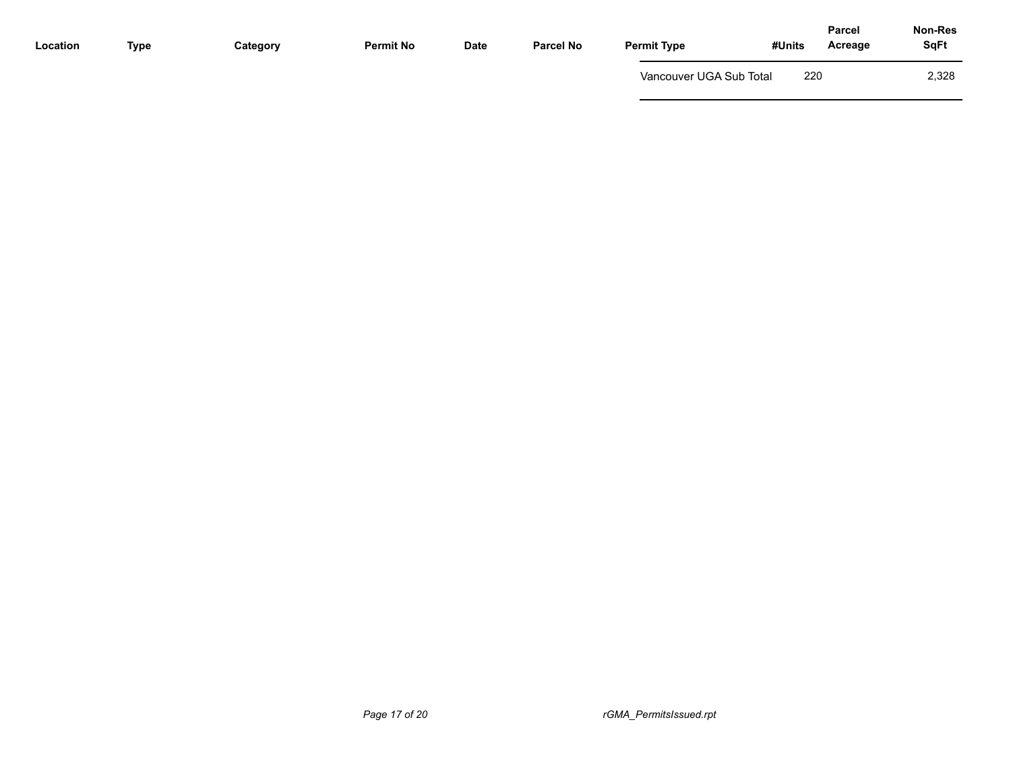| 220<br>Vancouver UGA Sub Total | <b>Type</b><br>Location | Category | <b>Permit No</b> | Date | <b>Parcel No</b> | <b>Permit Type</b> | #Units | <b>Parcel</b><br>Acreage | Non-Res<br><b>SqFt</b> |
|--------------------------------|-------------------------|----------|------------------|------|------------------|--------------------|--------|--------------------------|------------------------|
|                                |                         |          |                  |      |                  |                    |        |                          | 2,328                  |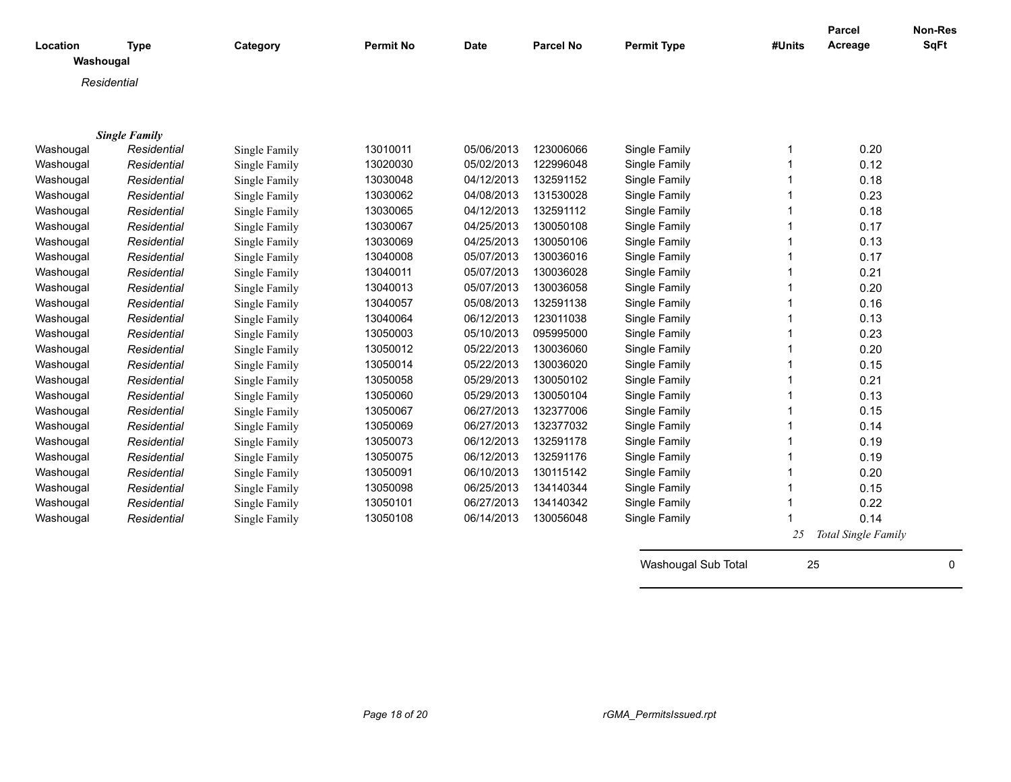| Location<br>Washougal | <b>Type</b>          | Category      | <b>Permit No</b> | Date       | <b>Parcel No</b> | <b>Permit Type</b>  | #Units | <b>Parcel</b><br>Acreage | <b>Non-Res</b><br><b>SqFt</b> |
|-----------------------|----------------------|---------------|------------------|------------|------------------|---------------------|--------|--------------------------|-------------------------------|
|                       |                      |               |                  |            |                  |                     |        |                          |                               |
|                       | Residential          |               |                  |            |                  |                     |        |                          |                               |
|                       |                      |               |                  |            |                  |                     |        |                          |                               |
|                       |                      |               |                  |            |                  |                     |        |                          |                               |
|                       | <b>Single Family</b> |               |                  |            |                  |                     |        |                          |                               |
| Washougal             | Residential          | Single Family | 13010011         | 05/06/2013 | 123006066        | Single Family       |        | 0.20                     |                               |
| Washougal             | Residential          | Single Family | 13020030         | 05/02/2013 | 122996048        | Single Family       |        | 0.12                     |                               |
| Washougal             | Residential          | Single Family | 13030048         | 04/12/2013 | 132591152        | Single Family       |        | 0.18                     |                               |
| Washougal             | Residential          | Single Family | 13030062         | 04/08/2013 | 131530028        | Single Family       |        | 0.23                     |                               |
| Washougal             | Residential          | Single Family | 13030065         | 04/12/2013 | 132591112        | Single Family       |        | 0.18                     |                               |
| Washougal             | Residential          | Single Family | 13030067         | 04/25/2013 | 130050108        | Single Family       |        | 0.17                     |                               |
| Washougal             | Residential          | Single Family | 13030069         | 04/25/2013 | 130050106        | Single Family       |        | 0.13                     |                               |
| Washougal             | Residential          | Single Family | 13040008         | 05/07/2013 | 130036016        | Single Family       |        | 0.17                     |                               |
| Washougal             | Residential          | Single Family | 13040011         | 05/07/2013 | 130036028        | Single Family       |        | 0.21                     |                               |
| Washougal             | Residential          | Single Family | 13040013         | 05/07/2013 | 130036058        | Single Family       |        | 0.20                     |                               |
| Washougal             | Residential          | Single Family | 13040057         | 05/08/2013 | 132591138        | Single Family       |        | 0.16                     |                               |
| Washougal             | Residential          | Single Family | 13040064         | 06/12/2013 | 123011038        | Single Family       |        | 0.13                     |                               |
| Washougal             | Residential          | Single Family | 13050003         | 05/10/2013 | 095995000        | Single Family       |        | 0.23                     |                               |
| Washougal             | Residential          | Single Family | 13050012         | 05/22/2013 | 130036060        | Single Family       |        | 0.20                     |                               |
| Washougal             | Residential          | Single Family | 13050014         | 05/22/2013 | 130036020        | Single Family       |        | 0.15                     |                               |
| Washougal             | Residential          | Single Family | 13050058         | 05/29/2013 | 130050102        | Single Family       |        | 0.21                     |                               |
| Washougal             | Residential          | Single Family | 13050060         | 05/29/2013 | 130050104        | Single Family       |        | 0.13                     |                               |
| Washougal             | Residential          | Single Family | 13050067         | 06/27/2013 | 132377006        | Single Family       |        | 0.15                     |                               |
| Washougal             | Residential          | Single Family | 13050069         | 06/27/2013 | 132377032        | Single Family       |        | 0.14                     |                               |
| Washougal             | Residential          | Single Family | 13050073         | 06/12/2013 | 132591178        | Single Family       |        | 0.19                     |                               |
| Washougal             | Residential          | Single Family | 13050075         | 06/12/2013 | 132591176        | Single Family       |        | 0.19                     |                               |
| Washougal             | Residential          | Single Family | 13050091         | 06/10/2013 | 130115142        | Single Family       |        | 0.20                     |                               |
| Washougal             | Residential          | Single Family | 13050098         | 06/25/2013 | 134140344        | Single Family       |        | 0.15                     |                               |
| Washougal             | Residential          | Single Family | 13050101         | 06/27/2013 | 134140342        | Single Family       |        | 0.22                     |                               |
| Washougal             | Residential          | Single Family | 13050108         | 06/14/2013 | 130056048        | Single Family       |        | 0.14                     |                               |
|                       |                      |               |                  |            |                  |                     | 25     | Total Single Family      |                               |
|                       |                      |               |                  |            |                  |                     |        |                          |                               |
|                       |                      |               |                  |            |                  | Washougal Sub Total | 25     |                          | 0                             |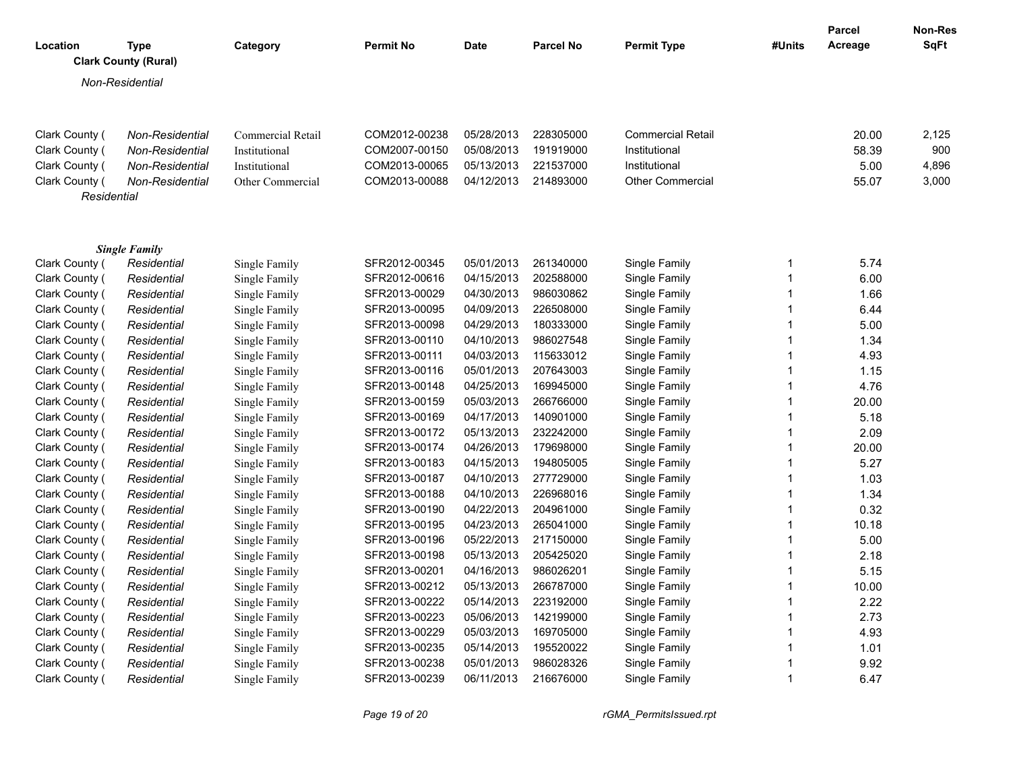| Location                      | <b>Type</b><br><b>Clark County (Rural)</b> | Category          | <b>Permit No</b> | <b>Date</b> | <b>Parcel No</b> | <b>Permit Type</b>       | #Units | Parcel<br>Acreage | Non-Res<br><b>SqFt</b> |
|-------------------------------|--------------------------------------------|-------------------|------------------|-------------|------------------|--------------------------|--------|-------------------|------------------------|
|                               | Non-Residential                            |                   |                  |             |                  |                          |        |                   |                        |
| Clark County (                | Non-Residential                            | Commercial Retail | COM2012-00238    | 05/28/2013  | 228305000        | <b>Commercial Retail</b> |        | 20.00             | 2,125                  |
| Clark County (                | Non-Residential                            | Institutional     | COM2007-00150    | 05/08/2013  | 191919000        | Institutional            |        | 58.39             | 900                    |
| Clark County (                | Non-Residential                            | Institutional     | COM2013-00065    | 05/13/2013  | 221537000        | Institutional            |        | 5.00              | 4,896                  |
| Clark County (<br>Residential | Non-Residential                            | Other Commercial  | COM2013-00088    | 04/12/2013  | 214893000        | <b>Other Commercial</b>  |        | 55.07             | 3,000                  |
|                               | <b>Single Family</b>                       |                   |                  |             |                  |                          |        |                   |                        |
| Clark County (                | Residential                                | Single Family     | SFR2012-00345    | 05/01/2013  | 261340000        | Single Family            |        | 5.74              |                        |
| Clark County (                | Residential                                | Single Family     | SFR2012-00616    | 04/15/2013  | 202588000        | Single Family            |        | 6.00              |                        |
| Clark County (                | Residential                                | Single Family     | SFR2013-00029    | 04/30/2013  | 986030862        | Single Family            |        | 1.66              |                        |
| Clark County (                | Residential                                | Single Family     | SFR2013-00095    | 04/09/2013  | 226508000        | Single Family            |        | 6.44              |                        |
| Clark County (                | Residential                                | Single Family     | SFR2013-00098    | 04/29/2013  | 180333000        | Single Family            |        | 5.00              |                        |
| Clark County (                | Residential                                | Single Family     | SFR2013-00110    | 04/10/2013  | 986027548        | Single Family            |        | 1.34              |                        |
| Clark County (                | Residential                                | Single Family     | SFR2013-00111    | 04/03/2013  | 115633012        | Single Family            |        | 4.93              |                        |
| Clark County (                | Residential                                | Single Family     | SFR2013-00116    | 05/01/2013  | 207643003        | Single Family            |        | 1.15              |                        |
| Clark County (                | Residential                                | Single Family     | SFR2013-00148    | 04/25/2013  | 169945000        | Single Family            |        | 4.76              |                        |
| Clark County (                | Residential                                | Single Family     | SFR2013-00159    | 05/03/2013  | 266766000        | Single Family            |        | 20.00             |                        |
| Clark County (                | Residential                                | Single Family     | SFR2013-00169    | 04/17/2013  | 140901000        | Single Family            |        | 5.18              |                        |
| Clark County (                | Residential                                | Single Family     | SFR2013-00172    | 05/13/2013  | 232242000        | Single Family            |        | 2.09              |                        |
| Clark County (                | Residential                                | Single Family     | SFR2013-00174    | 04/26/2013  | 179698000        | Single Family            |        | 20.00             |                        |
| Clark County (                | Residential                                | Single Family     | SFR2013-00183    | 04/15/2013  | 194805005        | Single Family            |        | 5.27              |                        |
| Clark County (                | Residential                                | Single Family     | SFR2013-00187    | 04/10/2013  | 277729000        | Single Family            |        | 1.03              |                        |
| Clark County (                | Residential                                | Single Family     | SFR2013-00188    | 04/10/2013  | 226968016        | Single Family            |        | 1.34              |                        |
| Clark County (                | Residential                                | Single Family     | SFR2013-00190    | 04/22/2013  | 204961000        | Single Family            |        | 0.32              |                        |
| Clark County (                | Residential                                | Single Family     | SFR2013-00195    | 04/23/2013  | 265041000        | Single Family            |        | 10.18             |                        |
| Clark County (                | Residential                                | Single Family     | SFR2013-00196    | 05/22/2013  | 217150000        | Single Family            |        | 5.00              |                        |
| Clark County (                | Residential                                | Single Family     | SFR2013-00198    | 05/13/2013  | 205425020        | Single Family            |        | 2.18              |                        |
| Clark County (                | Residential                                | Single Family     | SFR2013-00201    | 04/16/2013  | 986026201        | Single Family            |        | 5.15              |                        |
| Clark County (                | Residential                                | Single Family     | SFR2013-00212    | 05/13/2013  | 266787000        | Single Family            | 1      | 10.00             |                        |
| Clark County (                | Residential                                | Single Family     | SFR2013-00222    | 05/14/2013  | 223192000        | Single Family            |        | 2.22              |                        |
| Clark County (                | Residential                                | Single Family     | SFR2013-00223    | 05/06/2013  | 142199000        | Single Family            |        | 2.73              |                        |
| Clark County (                | Residential                                | Single Family     | SFR2013-00229    | 05/03/2013  | 169705000        | Single Family            |        | 4.93              |                        |
| Clark County (                | Residential                                | Single Family     | SFR2013-00235    | 05/14/2013  | 195520022        | Single Family            |        | 1.01              |                        |
| Clark County (                | Residential                                | Single Family     | SFR2013-00238    | 05/01/2013  | 986028326        | Single Family            |        | 9.92              |                        |
| Clark County (                | Residential                                | Single Family     | SFR2013-00239    | 06/11/2013  | 216676000        | Single Family            | 1      | 6.47              |                        |

*Page 19 of 20 rGMA\_PermitsIssued.rpt*